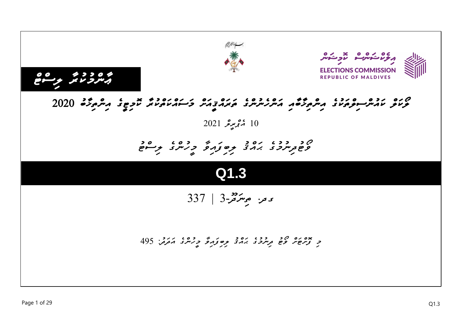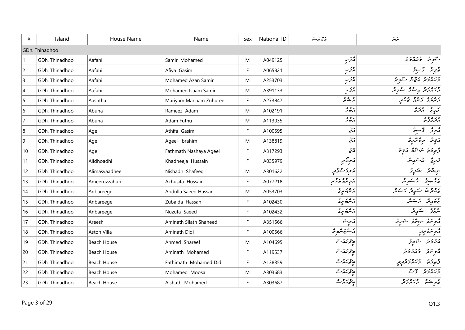| #              | Island         | House Name         | Name                   | Sex         | National ID | ړه پر ه                             | يترمثر                                                                                                                                                                                                                                 |
|----------------|----------------|--------------------|------------------------|-------------|-------------|-------------------------------------|----------------------------------------------------------------------------------------------------------------------------------------------------------------------------------------------------------------------------------------|
|                | GDh. Thinadhoo |                    |                        |             |             |                                     |                                                                                                                                                                                                                                        |
| 1              | GDh. Thinadhoo | Aafahi             | Samir Mohamed          | M           | A049125     | پژویر                               | شور ورەرو                                                                                                                                                                                                                              |
| $\overline{2}$ | GDh. Thinadhoo | Aafahi             | Afiya Gasim            | F           | A065821     | ړنځ په                              | مەر ئۇسۇ                                                                                                                                                                                                                               |
| 3              | GDh. Thinadhoo | Aafahi             | Mohamed Azan Samir     | M           | A253703     | ړنځ په                              | ورەر دېرە ھارىپى سەرىر                                                                                                                                                                                                                 |
| 4              | GDh. Thinadhoo | Aafahi             | Mohamed Isaam Samir    | M           | A391133     | د د .<br>مرو س                      | ورەرو رېگو گولو                                                                                                                                                                                                                        |
| 5              | GDh. Thinadhoo | Aashtha            | Mariyam Manaam Zuhuree | F           | A273847     | پر ه پر<br>مرشومی                   | נ סנס ג'וס כבן<br>כינו <i>ת כיתב</i> הנית                                                                                                                                                                                              |
| 6              | GDh. Thinadhoo | Abuha              | Rameez Adam            | M           | A102191     | رەپر                                | برَدِج أرادة                                                                                                                                                                                                                           |
| $\overline{7}$ | GDh. Thinadhoo | Abuha              | Adam Futhu             | M           | A113035     | رەپىر                               | پر ه د د<br>پرترو توم                                                                                                                                                                                                                  |
| $\overline{8}$ | GDh. Thinadhoo | Age                | Athifa Gasim           | $\mathsf F$ | A100595     | ين ح<br>حرقع                        | ۇ <sub>م</sub> ۇ ئ <sup>ې</sup> رۇ                                                                                                                                                                                                     |
| $ 9\rangle$    | GDh. Thinadhoo | Age                | Ageel Ibrahim          | M           | A138819     | ین ہ<br>حر                          | رسمبر<br>كەنتى ھەمگە بىرە<br>كەنتى كەنتىگە كەنتى كەنتى كەنتى كەنتى كەنتى كەنتى كەنتى كەنتى كەنتى كەنتى كەنتى كەنتى كەنتى كەنتى كەنتى كەنتى<br>كەنتى كەنتى كەنتى كەنتى كەنتى كەنتى كەنتى كەنتى كەنتى كەنتى كەنتى كەنتى كەنتى كەنتى كەنت |
| 10             | GDh. Thinadhoo | Age                | Fathmath Nashaya Ageel | $\mathsf F$ | A317293     | چە ھ<br>  جى                        |                                                                                                                                                                                                                                        |
| 11             | GDh. Thinadhoo | Alidhoadhi         | Khadheeja Hussain      | F           | A035979     | تروثرمر                             |                                                                                                                                                                                                                                        |
| 12             | GDh. Thinadhoo | Alimasvaadhee      | Nishadh Shafeeg        | M           | A301622     | رَ بِر <sub>پ</sub> ر شوء پر        |                                                                                                                                                                                                                                        |
| $ 13\rangle$   | GDh. Thinadhoo | Ameeruzzahuri      | Akhusifa Hussain       | F           | A077218     | ړې پره پر د بر                      |                                                                                                                                                                                                                                        |
| 14             | GDh. Thinadhoo | Anbareege          | Abdulla Saeed Hassan   | M           | A053703     | بر ۵ په په کې<br>مرس هم په          | رە داللە سەمەتر برسەش                                                                                                                                                                                                                  |
| 15             | GDh. Thinadhoo | Anbareege          | Zubaida Hassan         | F           | A102430     | ر ۵ پر ء<br>تر سرڪ س <sub>ي</sub> ر | تم مَه مر من من سكر السكر السكر السكر السكر السكر السكر السكر السكر السكر السكر السكر السكر السكر ال                                                                                                                                   |
| 16             | GDh. Thinadhoo | Anbareege          | Nuzufa Saeed           | F           | A102432     | ر هې په په<br>د سرچونو              | ج <sub>وجو</sub> ي سند <sub>و</sub> يتر                                                                                                                                                                                                |
| 17             | GDh. Thinadhoo | Areesh             | Aminath Silath Shaheed | F           | A351566     | وسمير يثنو                          | ە ئەسكە سوۋە ھەرەر<br>مەسكە مەسىر                                                                                                                                                                                                      |
| 18             | GDh. Thinadhoo | Aston Villa        | Aminath Didi           | F           | A100566     | ، صۇمئىرىم<br>مەسىم                 | و سره مرد د                                                                                                                                                                                                                            |
| 19             | GDh. Thinadhoo | <b>Beach House</b> | Ahmed Shareef          | M           | A104695     | ھەممەر جە                           | أرەر ئىسكىرۇ                                                                                                                                                                                                                           |
| 20             | GDh. Thinadhoo | <b>Beach House</b> | Aminath Mohamed        | F           | A119537     | ھەمزىر م                            | 21012 212                                                                                                                                                                                                                              |
| 21             | GDh. Thinadhoo | <b>Beach House</b> | Fathimath Mohamed Didi | F           | A138359     | ە <i>ئادىر مى</i> ر                 | وكبوكرة المردور ورورور                                                                                                                                                                                                                 |
| 22             | GDh. Thinadhoo | <b>Beach House</b> | Mohamed Moosa          | M           | A303683     | ھەمزىر م                            | ورەرو دوغ                                                                                                                                                                                                                              |
| 23             | GDh. Thinadhoo | <b>Beach House</b> | Aishath Mohamed        | F           | A303687     | $\sqrt{27.89}$                      | ه دره دره در<br>مگرشوه وبروتر                                                                                                                                                                                                          |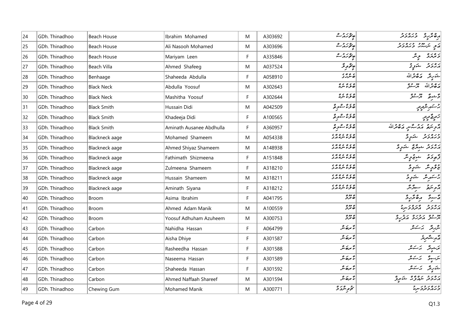| 24 | GDh. Thinadhoo | <b>Beach House</b> | Ibrahim Mohamed          | M  | A303692 | ھەممەر 2                                     |                                            |
|----|----------------|--------------------|--------------------------|----|---------|----------------------------------------------|--------------------------------------------|
| 25 | GDh. Thinadhoo | <b>Beach House</b> | Ali Nasooh Mohamed       | M  | A303696 | ھەممەر جە                                    | كرو مرجود وره در                           |
| 26 | GDh. Thinadhoo | <b>Beach House</b> | Mariyam Leen             | F  | A335846 | ھەممەر 2 ھ                                   | دەرە بېر                                   |
| 27 | GDh. Thinadhoo | Beach Villa        | Ahmed Shafeeg            | M  | A037524 | ھەمچ ھرىتىر                                  | رەرو شەرد                                  |
| 28 | GDh. Thinadhoo | Benhaage           | Shaheeda Abdulla         | F  | A058910 | ې ۵ پرې<br>ح <i>ه مرگ</i> ي                  | ەھىراللە<br>ے کمبر مگر<br>خ                |
| 29 | GDh. Thinadhoo | <b>Black Neck</b>  | Abdulla Yoosuf           | M  | A302643 | ه و ه ه و ه<br>م <i>ه مورد</i>               | برە تراللە<br>ېږمبره                       |
| 30 | GDh. Thinadhoo | <b>Black Neck</b>  | Mashitha Yoosuf          | F  | A302644 | ه و ه ه و ه<br>ح <i>افر ما م</i> ر <i>ما</i> | ۇ ئىمۇ<br>ېژىستۇ                           |
| 31 | GDh. Thinadhoo | <b>Black Smith</b> | Hussain Didi             | M  | A042509 | ە ئە ئەر ۋ                                   | ج <sub>ە</sub> سەمەسىھەمە                  |
| 32 | GDh. Thinadhoo | <b>Black Smith</b> | Khadeeja Didi            | F. | A100565 | ه د ه ه ه د ه<br>په عربا                     | ئرَ تورچٌ تو تو<br>س                       |
| 33 | GDh. Thinadhoo | <b>Black Smith</b> | Aminath Ausanee Abdhulla | F. | A360957 | ە ئەر ئەرە                                   | وتحريبهم ووجستمس وكافرالله                 |
| 34 | GDh. Thinadhoo | Blackneck aage     | Mohamed Shameem          | M  | A054338 | ه ده ه ده و د<br>حوم سربر در                 | ورەرو شرور                                 |
| 35 | GDh. Thinadhoo | Blackneck aage     | Ahmed Shiyaz Shameem     | M  | A148938 | ه ده ه ده و د<br><b>ه نو</b> م سربر در       | رەر د <sub>ە شورگ</sub> ە ئەرە             |
| 36 | GDh. Thinadhoo | Blackneck aage     | Fathimath Shizmeena      | F  | A151848 | ه ده ه ده و د<br><b>ه نو</b> م سرم در        | ژوده موځوند                                |
| 37 | GDh. Thinadhoo | Blackneck aage     | Zulmeena Shameem         | F  | A318210 | ه ده ه ده و د<br>حوم سرد در                  | ج څو په شو د ک                             |
| 38 | GDh. Thinadhoo | Blackneck aage     | Hussain Shameem          | M  | A318211 | ە يە ە يە ە » »<br>ھۆر سرىر ەر               | يز سەر شەھ بەر ئە                          |
| 39 | GDh. Thinadhoo | Blackneck aage     | Aminath Siyana           | F  | A318212 |                                              | و بره سورش                                 |
| 40 | GDh. Thinadhoo | Broom              | Asima Ibrahim            | F. | A041795 | ه دوه<br>ن <i>ه ب</i> رگر                    | دە ئەرد<br>رمج سبورمح                      |
| 41 | GDh. Thinadhoo | <b>Broom</b>       | Ahmed Adam Manik         | M  | A100559 | ه دوه<br>ن عرو                               | גפני הינכליטי                              |
| 42 | GDh. Thinadhoo | Broom              | Yoosuf Adhuham Azuheem   | M  | A300753 | ه دوه<br>ن <i>ه پو</i> ر                     | מ כם גבגם גבנים<br>ת—ני הנקבוב הנקב        |
| 43 | GDh. Thinadhoo | Carbon             | Nahidha Hassan           | F  | A064799 | ر<br>برگەنگە                                 | برَسەمىر<br>ىتزىر قىر                      |
| 44 | GDh. Thinadhoo | Carbon             | Aisha Dhiye              | F  | A301587 | ر<br>برگەنگە                                 | ر<br>په مرڪنورنگ                           |
| 45 | GDh. Thinadhoo | Carbon             | Rasheedha Hassan         | F  | A301588 | پ <sup>ر</sup> بره مګر                       | ىرىسىدىگە كەسكەنلى                         |
| 46 | GDh. Thinadhoo | Carbon             | Naseema Hassan           | F  | A301589 | ر<br>برگەنگە                                 | لكرسوق الكاشكر                             |
| 47 | GDh. Thinadhoo | Carbon             | Shaheeda Hassan          | F. | A301592 | ر<br>برگەنگە                                 | لمشريق الكاشر                              |
| 48 | GDh. Thinadhoo | Carbon             | Ahmed Naffaah Shareef    | M  | A301594 | ر<br>برگەنگە                                 | رەر د رەپرە ئىيرو<br>مەددىر سمدۇر ئىيرو    |
| 49 | GDh. Thinadhoo | Chewing Gum        | Mohamed Manik            | M  | A300771 | ىچ ەپەنگە ئە                                 | כ גם גבג<br><i>ב ג</i> וג <i>ב</i> וב ייגט |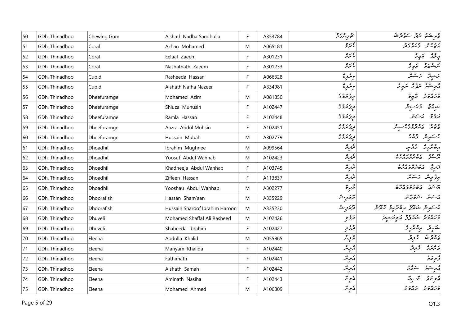| 50 | GDh. Thinadhoo | Chewing Gum    | Aishath Nadha Saudhulla        | F         | A353784 | ىخ موسرى ئى                        | مەم ئىكتى ئىق ئەر ئىراللە                                                     |
|----|----------------|----------------|--------------------------------|-----------|---------|------------------------------------|-------------------------------------------------------------------------------|
| 51 | GDh. Thinadhoo | Coral          | Azhan Mohamed                  | M         | A065181 | ەر ە<br>ئىلىمىرىتى                 | رومی وره رو                                                                   |
| 52 | GDh. Thinadhoo | Coral          | Eelaaf Zaeem                   | F         | A301231 | ەر ە<br>ئىگەنگە                    | أرِ حَمْرٌ مَنْ يَا اللَّهِ وَ                                                |
| 53 | GDh. Thinadhoo | Coral          | Nashathath Zaeem               | F         | A301233 | ەر ە<br>ئىگەنگە                    |                                                                               |
| 54 | GDh. Thinadhoo | Cupid          | Rasheeda Hassan                | F         | A066328 | بىر قريده                          | ىكەش <sub>ۇ</sub> نگە كەسكەنگر                                                |
| 55 | GDh. Thinadhoo | Cupid          | Aishath Nafha Nazeer           | F         | A334981 | بدوره                              | ە ئەستىم سروت سەپەتر                                                          |
| 56 | GDh. Thinadhoo | Dheefuramge    | Mohamed Azim                   | M         | A081850 | و ره د<br>درو برو د                | وره رو د مي ه<br>د پر پروتر مي پر                                             |
| 57 | GDh. Thinadhoo | Dheefuramge    | Shiuza Muhusin                 | F         | A102447 | ورقره و ء                          | أشورج وراسوس                                                                  |
| 58 | GDh. Thinadhoo | Dheefuramge    | Ramla Hassan                   | F         | A102448 | ور <sup>و ر</sup> ه ۶              | ىرە ئەسەر                                                                     |
| 59 | GDh. Thinadhoo | Dheefuramge    | Aazra Abdul Muhsin             | F         | A102451 | درچ تره ۶                          | و د ده ده ده ده سره<br>د می د ماه در د د سره                                  |
| 60 | GDh. Thinadhoo | Dheefuramge    | Hussain Mubah                  | M         | A302779 | در دره در در در در در ا            | جامشهر محقق                                                                   |
| 61 | GDh. Thinadhoo | Dhoadhil       | Ibrahim Mughnee                | M         | A099564 | شرمر شر                            | رەپرىر دۇس                                                                    |
| 62 | GDh. Thinadhoo | Dhoadhil       | Yoosuf Abdul Wahhab            | M         | A102423 | ترمر ثر                            | מ כם גם כם גם כם<br>ת—נ גם בת <i>ב</i> פגלם                                   |
| 63 | GDh. Thinadhoo | Dhoadhil       | Khadheeja Abdul Wahhab         | F         | A103745 | قرمرقر                             | ز در ۵۶۵۰۵۶۰۰<br>زوده مان دره در ۱۶۶                                          |
| 64 | GDh. Thinadhoo | Dhoadhil       | Zifleen Hassan                 | F         | A113837 | شرمر عمر<br>                       | يوقوپىق ئەسەھ                                                                 |
| 65 | GDh. Thinadhoo | Dhoadhil       | Yooshau Abdul Wahhab           | ${\sf M}$ | A302277 | ە<br>ئىرىبرىر                      | ر ه و ه ر ه <i>و ه</i><br>پره تر <del>ت</del> ر ه ر ه<br>دو به در<br>هر شه در |
| 66 | GDh. Thinadhoo | Dhoorafish     | Hassan Sham'aan                | ${\sf M}$ | A335229 | دوبر<br>  تد تنزی <sub>ر</sub> مشه | يُركبش كوكورس                                                                 |
| 67 | GDh. Thinadhoo | Dhoorafish     | Hussain Sharoof Ibrahim Haroon | M         | A335230 | قزئزبر يثه                         | د کرمر شورو ده ندره در ده در در با                                            |
| 68 | GDh. Thinadhoo | <b>Dhuveli</b> | Mohamed Shaffaf Ali Rasheed    | M         | A102426 | قرغرمبر                            | ورەرو دەۋە كەم كەس                                                            |
| 69 | GDh. Thinadhoo | Dhuveli        | Shaheeda Ibrahim               | F         | A102427 | قرءً محر                           | شَرِيرٌ وڤيرُردُ                                                              |
| 70 | GDh. Thinadhoo | Eleena         | Abdulla Khalid                 | ${\sf M}$ | A055865 | ەمەپىر                             | رَصْقَرَاللّه شَعْرَ قَرْ                                                     |
| 71 | GDh. Thinadhoo | Eleena         | Mariyam Khalida                | F         | A102440 | أدمويتر                            | ر ه ر ه<br><del>ر</del> بربرو<br>رٌ وترٌ                                      |
| 72 | GDh. Thinadhoo | Eleena         | Fathimath                      | F         | A102441 | ەمەپە                              | وٌجوحه                                                                        |
| 73 | GDh. Thinadhoo | Eleena         | Aishath Samah                  | F         | A102442 | ې په پېژنگر<br>تو                  | سەۋر<br>ۇ مەشقۇم<br>مەم                                                       |
| 74 | GDh. Thinadhoo | Eleena         | Aminath Nasiha                 | F         | A102443 | ې په پېړنگه<br>د په پېښ            | ۇ ئەسكە ئەسىر                                                                 |
| 75 | GDh. Thinadhoo | Eleena         | Mohamed Ahmed                  | M         | A106809 | ەمەپىر                             | כנסנפ נסנפ<br>כגמכת הגבת                                                      |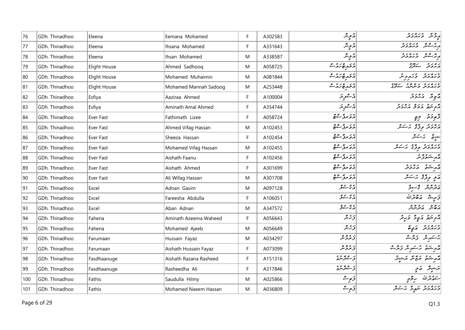| 76  | GDh. Thinadhoo | Eleena       | Eemana Mohamed         | F           | A302583 | ەمەپە                            | وره دره دو                                                                  |
|-----|----------------|--------------|------------------------|-------------|---------|----------------------------------|-----------------------------------------------------------------------------|
| 77  | GDh. Thinadhoo | Eleena       | Ihsana Mohamed         | F           | A331643 | ەمەپە                            | مەرقىقى دىرەرد                                                              |
| 78  | GDh. Thinadhoo | Eleena       | Ihsan Mohamed          | M           | A338587 | ەمەپە                            | مر شهر دره دو                                                               |
| 79  | GDh. Thinadhoo | Elight House | Ahmed Sadhoog          | M           | A058725 | وبخروع ترقرعه                    | ره ر و دوو<br>پرېدونر سيونونۍ                                               |
| 80  | GDh. Thinadhoo | Elight House | Mohamed Muhaimin       | M           | A081844 | ې ئەرەبەر م                      | ورەرو وژېرونې                                                               |
| 81  | GDh. Thinadhoo | Elight House | Mohamed Mannah Sadoog  | M           | A253448 | وبخرج بروعه                      | ورەر د رەپرىر رودد<br><i>ويەم</i> رونر ۋىرىش، سىن <i>ر</i> ى                |
| 82  | GDh. Thinadhoo | Esfiya       | Aaziraa Ahmed          | F           | A100004 | ې ش <sub>وپ</sub> ر              | ړې پر دروند                                                                 |
| 83  | GDh. Thinadhoo | Esfiya       | Aminath Amal Ahmed     | F           | A354744 | ې ش <sub>وپ</sub> ور             | أترجم المرده الملاحدة                                                       |
| 84  | GDh. Thinadhoo | Ever Fast    | Fathimath Lizee        | F           | A058724 | ى بە بەرگە ھ<br>مەمەرگە سىزە     | و دو وي<br>د دوده وي<br>د دود و و د بر بر بر                                |
| 85  | GDh. Thinadhoo | Ever Fast    | Ahmed Vifag Hassan     | M           | A102453 | ى ئەسرىگە شەھ                    |                                                                             |
| 86  | GDh. Thinadhoo | Ever Fast    | Sheeza Hassan          | F           | A102454 | ى بە بەرگە ھ<br>مەمەرگە سىزە     | أشويج أيركسكر                                                               |
| 87  | GDh. Thinadhoo | Ever Fast    | Mohamed Vifag Hassan   | M           | A102455 | ى بەر بۇ سەھ                     | ورورو وؤو برختر                                                             |
| 88  | GDh. Thinadhoo | Ever Fast    | Aishath Faanu          | F           | A102456 | ى بە بەرگە ھ<br>مەمەرگە سىزە     | ۇ مەستەھ <i>ۋى</i> تر                                                       |
| 89  | GDh. Thinadhoo | Ever Fast    | Aishath Ahmed          | F           | A301699 | ى ئەرگەر 20<br>م <i>ە</i> رگەرگە | ه دشتن ده د و د                                                             |
| 90  | GDh. Thinadhoo | Ever Fast    | Ali Wifag Hassan       | M           | A301708 | ى ئەسرىگە ھ                      | أزمج ورتمح برسكس                                                            |
| 91  | GDh. Thinadhoo | Excel        | Adnan Gasim            | M           | A097128 | ې ۵ چې که مخ                     | ر د مره شوره<br>مرمر شرکت شور                                               |
| 92  | GDh. Thinadhoo | Excel        | Fareesha Abdulla       | F           | A106051 | ې ۵ د محمو                       | ترىيىت كەن ئاللە                                                            |
| 93  | GDh. Thinadhoo | Excel        | Aban Adnan             | M           | A347572 | ې ۵ د مو                         | رەم رومۇر                                                                   |
| 94  | GDh. Thinadhoo | Fahena       | Aminath Azeema Waheed  | F.          | A056643 | ىر ، مەش                         | أأرجع أياته وأبادهم                                                         |
| 95  | GDh. Thinadhoo | Fahena       | Mohamed Ajeeb          | M           | A056649 | ىر ، مىگە<br>يوپەنىش             | ورەرو رىي<br>وبى <sub>د</sub> رونر ك <i>ى</i> ي                             |
| 96  | GDh. Thinadhoo | Farumaan     | Hussain Fayaz          | M           | A034297 | ىر بەير ب <sub>ىر</sub>          | بركستهر مكر تو ترشيده                                                       |
| 97  | GDh. Thinadhoo | Farumaan     | Aishath Hussain Fayaz  | F           | A073099 | ىر بەيرى<br>تەنىر شە             | و<br>وگر شوه بر سور شر و کرم شو                                             |
| 98  | GDh. Thinadhoo | Fasdhaanuge  | Aishath Razana Rasheed | $\mathsf F$ | A151316 | ر ۱۵۵ و <sup>ی</sup>             |                                                                             |
| 99  | GDh. Thinadhoo | Fasdhaanuge  | Rasheedha Ali          | F           | A317846 | ر ۱۵۰۰ و <sup>ی</sup>            | بر <sub>خونگر</sub> برکو<br>برخونگر برکوی<br>سرگرفترالله برقرم <sub>ی</sub> |
| 100 | GDh. Thinadhoo | Fathis       | Saudulla Hilmy         | M           | A025866 | ۇ ھ <sub>ۇ</sub> ش               |                                                                             |
| 101 | GDh. Thinadhoo | Fathis       | Mohamed Naeem Hassan   | M           | A036809 | ئەموشە                           | ورەرو مەدە ئەسكىر                                                           |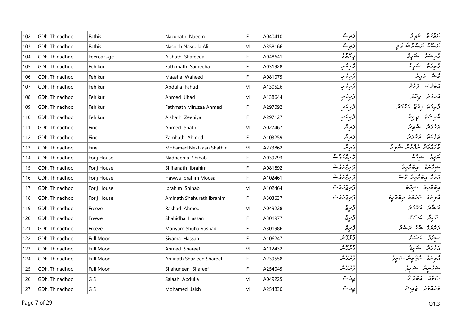| 102 | GDh. Thinadhoo | Fathis      | Nazuhath Naeem            | F  | A040410 | رَمو مشه                                    | يروج من يتمريك                                                                                                                                                                                                                      |
|-----|----------------|-------------|---------------------------|----|---------|---------------------------------------------|-------------------------------------------------------------------------------------------------------------------------------------------------------------------------------------------------------------------------------------|
| 103 | GDh. Thinadhoo | Fathis      | Nasooh Nasrulla Ali       | M  | A358166 | ئۈ مور ھ                                    | ىرجى مىرجىمەللە مەر                                                                                                                                                                                                                 |
| 104 | GDh. Thinadhoo | Feeroazuge  | Aishath Shafeeqa          | F  | A048641 | وپرېږ                                       |                                                                                                                                                                                                                                     |
| 105 | GDh. Thinadhoo | Fehikuri    | Fathimath Sameeha         | F. | A031928 | ۇرى <i>رى</i><br>ر                          | ومودة سكوبة                                                                                                                                                                                                                         |
| 106 | GDh. Thinadhoo | Fehikuri    | Maasha Waheed             | F  | A081075 | ۇرىۋىر<br>مەس                               | وَّحْدُ وَرِمْر                                                                                                                                                                                                                     |
| 107 | GDh. Thinadhoo | Fehikuri    | Abdulla Fahud             | M  | A130526 | وربنير                                      | مَدْهِ قَرْاللّه وَرْقَرْ                                                                                                                                                                                                           |
| 108 | GDh. Thinadhoo | Fehikuri    | Ahmed Jihad               | M  | A138644 | ۇرى <i>قى</i> ر                             | ړ پر د پر پر                                                                                                                                                                                                                        |
| 109 | GDh. Thinadhoo | Fehikuri    | Fathmath Miruzaa Ahmed    | F  | A297092 | وربائعه                                     | و دو دوه ده دو                                                                                                                                                                                                                      |
| 110 | GDh. Thinadhoo | Fehikuri    | Aishath Zeeniya           | F  | A297127 | ۇرى <sup>ق</sup> ىر                         | و مشهور سي مريد من مستقرر المستقرر المستقرر من مستقرر المستقرر المستقرر المستقرر المستقرر من الله مس<br>مستقرر المستقرر المستقرر المستقرر المستقرر المستقرر المستقرر المستقرر المستقرر المستقرر المستقرر المستقرر المس<br>مستقرر ال |
| 111 | GDh. Thinadhoo | Fine        | Ahmed Shathir             | M  | A027467 | ۇ بەشر                                      | أرەر دېم ئىگە ئىچ                                                                                                                                                                                                                   |
| 112 | GDh. Thinadhoo | Fine        | Zamhath Ahmed             | F  | A103259 | ۇ بەشر                                      | י סיי כי יירי ביירי היירי ביירי ביירי ביירי ביירי ביירי ביירי ביירי ביירי ביירי ביירי ביירי ביירי בי                                                                                                                                |
| 113 | GDh. Thinadhoo | Fine        | Mohamed Nekhlaan Shathir  | M  | A273862 | دَ مِر مْر                                  | ورەرو ، ەۋۋە شەپر                                                                                                                                                                                                                   |
| 114 | GDh. Thinadhoo | Forij House | Nadheema Shihab           | F. | A039793 | تۇبرق <sub>ى</sub> رىر مىشە                 | سَرْمِرِ حَدِيَّ صَ                                                                                                                                                                                                                 |
| 115 | GDh. Thinadhoo | Forij House | Shihanath Ibrahim         | F  | A081892 | تۇبر قۇر ئەشە                               |                                                                                                                                                                                                                                     |
| 116 | GDh. Thinadhoo | Forij House | Hawwa Ibrahim Moosa       | F. | A102461 | ېز پېږ <i>مړينه</i><br>تر سرچ <i>ت</i> ر مش |                                                                                                                                                                                                                                     |
| 117 | GDh. Thinadhoo | Forij House | Ibrahim Shihab            | M  | A102464 | تۇبر قەرىر مىشە                             | وه شرد شرکته                                                                                                                                                                                                                        |
| 118 | GDh. Thinadhoo | Forij House | Aminath Shahurath Ibrahim | F. | A303637 | ېزىر <i>و ئەر</i> رىيە                      | أزويتهم شرحرح وحنزرو                                                                                                                                                                                                                |
| 119 | GDh. Thinadhoo | Freeze      | Rashad Ahmed              | M  | A049228 | ثرىيى                                       | يرشى پەرەر                                                                                                                                                                                                                          |
| 120 | GDh. Thinadhoo | Freeze      | Shahidha Hassan           | F. | A301977 | و مړي<br>تر <sub>مړ</sub> ي                 | شەرىق بەسەس                                                                                                                                                                                                                         |
| 121 | GDh. Thinadhoo | Freeze      | Mariyam Shuha Rashad      | F. | A301986 | و <sub>مو</sub> ج                           | رەرە بەر ئەر                                                                                                                                                                                                                        |
| 122 | GDh. Thinadhoo | Full Moon   | Siyama Hassan             | F  | A106247 | و ه دو ه                                    | السورمج كالمسكر                                                                                                                                                                                                                     |
| 123 | GDh. Thinadhoo | Full Moon   | Ahmed Shareef             | M  | A112432 | و ه دو ه                                    | ړه رو شهرو                                                                                                                                                                                                                          |
| 124 | GDh. Thinadhoo | Full Moon   | Aminath Shazleen Shareef  | F  | A239558 | د ه دد ه<br>نو پر ش                         | أأدوسه فأعجم ومالك المورقر                                                                                                                                                                                                          |
| 125 | GDh. Thinadhoo | Full Moon   | Shahuneen Shareef         | F  | A254045 | د ه دد ه<br>نو پر ش                         | ڪرٽس سگهرڙ<br>پ                                                                                                                                                                                                                     |
| 126 | GDh. Thinadhoo | G S         | Salaah Abdulla            | M  | A049225 | مچ مر شه                                    | بدوح مكافرالله                                                                                                                                                                                                                      |
| 127 | GDh. Thinadhoo | G S         | Mohamed Jaish             | M  | A254830 | ىپە ئە <sup>م</sup>                         | وره رو که گ                                                                                                                                                                                                                         |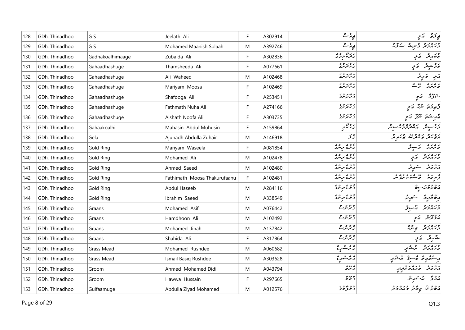| 128 | GDh. Thinadhoo | G S               | Jeelath Ali                  | F           | A302914 | <sub>میم</sub> ور مصر<br>               | توخيم كالمحي                                                                                                   |
|-----|----------------|-------------------|------------------------------|-------------|---------|-----------------------------------------|----------------------------------------------------------------------------------------------------------------|
| 129 | GDh. Thinadhoo | G S               | Mohamed Maanish Solaah       | M           | A392746 | م <sub>و</sub> مر م                     |                                                                                                                |
| 130 | GDh. Thinadhoo | Gadhakoalhimaage  | Zubaida Ali                  | F           | A302836 | ر ره روي<br>د تر نا برو د               | ة محمد قدم من المحمد المحمد المحمد المحمد المحمد المحمد المحمد المحمد المحمد المحمد المحمد المحمد ال           |
| 131 | GDh. Thinadhoo | Gahaadhashuge     | Thamsheeda Ali               | F           | A077661 | ر بر ر و ،<br>ی رکوروی                  | ره <sub>شوتگر</sub> کرم                                                                                        |
| 132 | GDh. Thinadhoo | Gahaadhashuge     | Ali Waheed                   | M           | A102468 | ر بر ر د ،<br>ئ رکمرمر <i>ی</i>         | أەي ئەرە                                                                                                       |
| 133 | GDh. Thinadhoo | Gahaadhashuge     | Mariyam Moosa                | $\mathsf F$ | A102469 | ر بر ر و ،<br>ی رکوروی                  | ر ه ر ه<br><del>ر</del> بربر د<br>حر مشر                                                                       |
| 134 | GDh. Thinadhoo | Gahaadhashuge     | Shafooga Ali                 | F           | A253451 | ر بر ر و ،<br>ی رکوروی                  | ر دوم.<br>سشوتو تو<br>ەتىر                                                                                     |
| 135 | GDh. Thinadhoo | Gahaadhashuge     | Fathmath Nuha Ali            | F           | A274166 | ر بر ر و ،<br>ی رکوروی                  | و محمدة و المحمدة و المحمدة المحمدة المحمدة المحمدة المحمدة المحمدة المحمدة المحمدة المحمدة المحمدة المحمدة ال |
| 136 | GDh. Thinadhoo | Gahaadhashuge     | Aishath Noofa Ali            | F           | A303735 | ر بر ر د ،<br>ی رکوروی                  |                                                                                                                |
| 137 | GDh. Thinadhoo | Gahaakoalhi       | Mahasin Abdul Muhusin        | F           | A159864 | ر وه<br>ئ رسم ع                         | رو ده ده ده ده می شود.<br>در سوس مان مورد در سوس                                                               |
| 138 | GDh. Thinadhoo | Gela              | Ajuhadh Abdulla Zuhair       | M           | A146918 | ىمىتى                                   | رەرو رەوللە ج ئەرج                                                                                             |
| 139 | GDh. Thinadhoo | <b>Gold Ring</b>  | Mariyam Waseela              | F           | A081854 | د و و بر مرو <u>ه</u>                   | رەرە بەر                                                                                                       |
| 140 | GDh. Thinadhoo | <b>Gold Ring</b>  | Mohamed Ali                  | M           | A102478 | ە ۋە برى <i>ترى</i>                     | ورەرو كەي                                                                                                      |
| 141 | GDh. Thinadhoo | <b>Gold Ring</b>  | Ahmed Saeed                  | M           | A102480 | ە ۋە برى <i>ترى</i>                     | رەرو سەرەر                                                                                                     |
| 142 | GDh. Thinadhoo | <b>Gold Ring</b>  | Fathimath Moosa Thakurufaanu | F           | A102481 | د و و بر مرو<br>  د نر بر مرو           | ه رد در پردده د<br>گهجره و سهم مرتوس                                                                           |
| 143 | GDh. Thinadhoo | <b>Gold Ring</b>  | <b>Abdul Haseeb</b>          | M           | A284116 | 1983 مر <mark>مرہ</mark>                | ره وه ر<br>پره ترڅه ک                                                                                          |
| 144 | GDh. Thinadhoo | <b>Gold Ring</b>  | Ibrahim Saeed                | M           | A338549 | د و ه مر مرو                            | مەھەر ئەھمەت                                                                                                   |
| 145 | GDh. Thinadhoo | Graans            | Mohamed Asif                 | M           | A076442 | ە ئەبەر م                               | 3 - 3 3 3 3 2 3 2 3                                                                                            |
| 146 | GDh. Thinadhoo | Graans            | Hamdhoon Ali                 | M           | A102492 | ە ئەبەر م                               | رەددە كەر                                                                                                      |
| 147 | GDh. Thinadhoo | Graans            | Mohamed Jinah                | M           | A137842 | ە ئەبەر م                               | ورەر دېم پر                                                                                                    |
| 148 | GDh. Thinadhoo | Graans            | Shahida Ali                  | F           | A317864 | ء پڑ <sub>ىشر</sub> ىئە                 | ڪريڙ ڏي                                                                                                        |
| 149 | GDh. Thinadhoo | <b>Grass Mead</b> | Mohamed Rushdee              | M           | A060682 | <br> دېر شو <sub>ح</sub> ؟              |                                                                                                                |
| 150 | GDh. Thinadhoo | <b>Grass Mead</b> | Ismail Basiq Rushdee         | M           | A303628 | <mark>ءِ بَرَّے <sub>جو</sub>ء</mark> ِ | رە ئەر ئۇ ئەسرى بىر شەر                                                                                        |
| 151 | GDh. Thinadhoo | Groom             | Ahmed Mohamed Didi           | M           | A043794 | ه دده<br>ک عرب                          | ر و د د و ر و ر و د و د د د د ا                                                                                |
| 152 | GDh. Thinadhoo | Groom             | Hawwa Hussain                | F           | A297665 | ہ دو ہ<br>ی محرچ                        | رەپە جەمئىر ش                                                                                                  |
| 153 | GDh. Thinadhoo | Gulfaamuge        | Abdulla Ziyad Mohamed        | M           | A012576 | وه پر و ،<br>د نرتو تر د                | ره و الله به شو و رور د                                                                                        |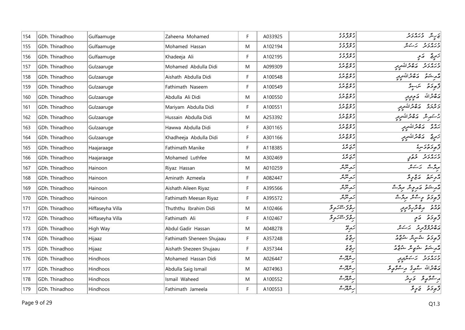| 154 | GDh. Thinadhoo | Gulfaamuge       | Zaheena Mohamed           | F           | A033925 | د ه و د د ،<br>د ترتر تر د    | پی شرح حرم در حر                                   |
|-----|----------------|------------------|---------------------------|-------------|---------|-------------------------------|----------------------------------------------------|
| 155 | GDh. Thinadhoo | Gulfaamuge       | Mohamed Hassan            | M           | A102194 | د ه و د د ،<br>د ترتر تر د    | ورەرو پرىكى                                        |
| 156 | GDh. Thinadhoo | Gulfaamuge       | Khadeeja Ali              | F           | A102195 | وه پو و ،<br><b>ئ ترتر</b> تر | زَمِرِيَّ مَ مِ                                    |
| 157 | GDh. Thinadhoo | Gulzaaruge       | Mohamed Abdulla Didi      | M           | A099309 | و ه پر و ،<br>د نژيخ بود      | وره رو ده دالله در د                               |
| 158 | GDh. Thinadhoo | Gulzaaruge       | Aishath Abdulla Didi      | F           | A100548 | و ه پر و ،<br>د نومځ مرد      | و مشموم من الله مرمر<br>مستموم من مسائله مرمر      |
| 159 | GDh. Thinadhoo | Gulzaaruge       | Fathimath Naseem          | F           | A100549 | و ه پر و ء<br>ی څرنځ بمری     | و دو سرب                                           |
| 160 | GDh. Thinadhoo | Gulzaaruge       | Abdulla Ali Didi          | M           | A100550 | و ه په و ،<br>د نومځ مود      | رە داللە سەرىرىر                                   |
| 161 | GDh. Thinadhoo | Gulzaaruge       | Mariyam Abdulla Didi      | F           | A100551 | و ه پر و ،<br>د نومځ مرد      | يره بره صرح اللّه مرمر<br>  جسر جرح صرح اللّه مرمر |
| 162 | GDh. Thinadhoo | Gulzaaruge       | Hussain Abdulla Didi      | M           | A253392 | و ه پر و ،<br>د نومځ مرد      | جرسكوريثر وكالهاد الله ويدير                       |
| 163 | GDh. Thinadhoo | Gulzaaruge       | Hawwa Abdulla Didi        | F           | A301165 | و ه پر و و<br>د نومځ مور      | برە ئەھىراللەيرىر                                  |
| 164 | GDh. Thinadhoo | Gulzaaruge       | Khadheeja Abdulla Didi    | F           | A301166 | و ه پر و ،<br>د نومځ مرد      | .<br>ترمريعًا مُرصورًاللَّه مِرمرٍ                 |
| 165 | GDh. Thinadhoo | Haajaraage       | Fathimath Manike          | F           | A118385 | ہ پر ہ ج<br>  رکنج ہمزی       | ۇ بوخ <sub>ۇ</sub> خ مېرىئا                        |
| 166 | GDh. Thinadhoo | Haajaraage       | Mohamed Luthfee           | M           | A302469 | ی ر د د<br>رقع بور            | ورەرو وو                                           |
| 167 | GDh. Thinadhoo | Hainoon          | Riyaz Hassan              | M           | A010259 | ئەر بىر بىر                   | ىرىگرىش ئەسكەنگر                                   |
| 168 | GDh. Thinadhoo | Hainoon          | Aminath Azmeela           | F           | A082447 | ئەر بىر بىر                   | أزجيتهم أكالحوقر                                   |
| 169 | GDh. Thinadhoo | Hainoon          | Aishath Aileen Riyaz      | F           | A395566 | ئەر بىر بىر<br>م              | و<br>مەستۇق مەرچىگ بىرگى                           |
| 170 | GDh. Thinadhoo | Hainoon          | Fathimath Meesan Riyaz    | F           | A395572 | لرمز فرهر                     | تو ده د شکر برگ                                    |
| 171 | GDh. Thinadhoo | Hiffaseyha Villa | Thuththu Ibrahim Didi     | M           | A102466 | رە دېسىزە ۋ                   | وه و هغه و ورمړ<br>د مهمد د هغه د د                |
| 172 | GDh. Thinadhoo | Hiffaseyha Villa | Fathimath Ali             | F           | A102467 | رە دېم ئەرە ۋ                 | وٌجودَ حَرَمٍ                                      |
| 173 | GDh. Thinadhoo | High Way         | Abdul Gadir Hassan        | M           | A048278 | رَوةٌ                         | رە دەپرىر بەسەر                                    |
| 174 | GDh. Thinadhoo | Hijaaz           | Fathimath Sheneen Shujaau | $\mathsf F$ | A357248 | رقع تح                        | قەدە شەھرىش شەھەر                                  |
| 175 | GDh. Thinadhoo | Hijaaz           | Aishath Shezeen Shujaau   | F           | A357344 | رقع تح                        | د مشتر شري شرح د د د د                             |
| 176 | GDh. Thinadhoo | Hindhoos         | Mohamed Hassan Didi       | M           | A026447 | ر مرور م                      | ورەرو كەسكەرىر                                     |
| 177 | GDh. Thinadhoo | Hindhoos         | Abdulla Saig Ismail       | M           | A074963 | ر عروز م                      | أرە داللە بەر ئەر ئەر ئور                          |
| 178 | GDh. Thinadhoo | Hindhoos         | Ismail Waheed             | M           | A100552 | ر مرور م                      | ر شۇر ئەير                                         |
| 179 | GDh. Thinadhoo | Hindhoos         | Fathimath Jameela         | F           | A100553 | ىر مەدىر م                    | وٌجوحَمَ ۖ يَا حِي حَرْ                            |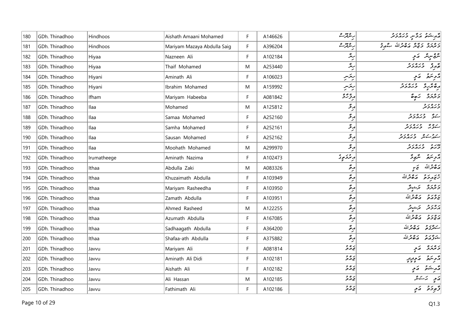| 180 | GDh. Thinadhoo | Hindhoos    | Aishath Amaani Mohamed      | F  | A146626 | ر مرو <u>ر</u> م         | م مشور مدوس وبرور و                                                                       |
|-----|----------------|-------------|-----------------------------|----|---------|--------------------------|-------------------------------------------------------------------------------------------|
| 181 | GDh. Thinadhoo | Hindhoos    | Mariyam Mazaya Abdulla Saig | F  | A396204 | ر موجو ھ                 | و مرده برود بره والله گرورد                                                               |
| 182 | GDh. Thinadhoo | Hiyaa       | Nazneen Ali                 | F. | A102184 | ريژ                      | شچسرینل کی تو                                                                             |
| 183 | GDh. Thinadhoo | Hiyaa       | Thaif Mohamed               | M  | A253440 | رېژ                      | و ره ر و<br><i>و ټ</i> رو تر<br>جوہری                                                     |
| 184 | GDh. Thinadhoo | Hiyani      | Aminath Ali                 | F  | A106023 | ریزمبر                   | ومحر ينتم وأوجبه                                                                          |
| 185 | GDh. Thinadhoo | Hiyani      | Ibrahim Mohamed             | M  | A159992 | ریزمبر                   | و ر ه ر و<br>تر پر ژ تر<br>ەھ ئ <sup>ۆ</sup> ر ۋ                                          |
| 186 | GDh. Thinadhoo | Ifham       | Mariyam Habeeba             | F  | A081842 | بروترو                   | ر ه ر ه<br>و بربرو<br>$\overset{\ast}{\circ}\overset{\ast}{\circ}\widetilde{\phantom{A}}$ |
| 187 | GDh. Thinadhoo | Ilaa        | Mohamed                     | M  | A125812 | برتخه                    | و ر ه ر و<br>د بر پر تر                                                                   |
| 188 | GDh. Thinadhoo | Ilaa        | Samaa Mohamed               | F  | A252160 | وعج                      | سەبىيە<br>و ره ر و<br><i>د ب</i> رگرفر                                                    |
| 189 | GDh. Thinadhoo | Ilaa        | Samha Mohamed               | F  | A252161 | برځ                      | سترويخه<br>و رە ر د<br>تر پروتر                                                           |
| 190 | GDh. Thinadhoo | <b>Ilaa</b> | Sausan Mohamed              | F. | A252162 | برځ                      | سەر سەرەر دىرەرد                                                                          |
| 191 | GDh. Thinadhoo | Ilaa        | Moohath Mohamed             | M  | A299970 | برځ                      | و ره ر و<br><i>و پر</i> و تر<br>ود ر و<br>تر بر ه                                         |
| 192 | GDh. Thinadhoo | Irumatheege | Aminath Nazima              | F  | A102473 | د بر دې<br>ر             | أثربر مرد<br>سَّرَى تَرَ                                                                  |
| 193 | GDh. Thinadhoo | Ithaa       | Abdulla Zaki                | M  | A083326 | ويح                      | برة قمرالله تج بدٍ                                                                        |
| 194 | GDh. Thinadhoo | Ithaa       | Khuzaimath Abdulla          | F  | A103949 | ويح                      | أشتم مرحم ومقتلة                                                                          |
| 195 | GDh. Thinadhoo | Ithaa       | Mariyam Rasheedha           | F  | A103950 | ديځ                      | دیروز پرَجونگر                                                                            |
| 196 | GDh. Thinadhoo | Ithaa       | Zamath Abdulla              | F. | A103951 | مرځي                     | بره بر و ده قرالله                                                                        |
| 197 | GDh. Thinadhoo | Ithaa       | Ahmed Rasheed               | M  | A122255 | برځ                      | د ۱۵ د حر مر شوند                                                                         |
| 198 | GDh. Thinadhoo | Ithaa       | Azumath Abdulla             | F  | A167085 | برځ                      | م مرد مقدالله                                                                             |
| 199 | GDh. Thinadhoo | Ithaa       | Sadhaagath Abdulla          | F  | A364200 | ديځ                      | يحترج وكالله                                                                              |
| 200 | GDh. Thinadhoo | Ithaa       | Shafaa-ath Abdulla          | F  | A375882 | ويح                      | شوره ره دالله                                                                             |
| 201 | GDh. Thinadhoo | Javvu       | Mariyam Ali                 | F  | A081814 | ر ه و<br>قع <i>ه</i> ر   | د بر پر د کم د به                                                                         |
| 202 | GDh. Thinadhoo | Javvu       | Aminath Ali Didi            | F  | A102181 | ر ه و<br>قع مرح          |                                                                                           |
| 203 | GDh. Thinadhoo | Javvu       | Aishath Ali                 | F  | A102182 | ر ه و<br>قع <i>در و</i>  |                                                                                           |
| 204 | GDh. Thinadhoo | Javvu       | Ali Hassan                  | M  | A102185 | پر ه و<br>  ق            |                                                                                           |
| 205 | GDh. Thinadhoo | Javvu       | Fathimath Ali               | F  | A102186 | ر ہ و<br>قع ا <i>ز ہ</i> | وً و دَم دَم پ                                                                            |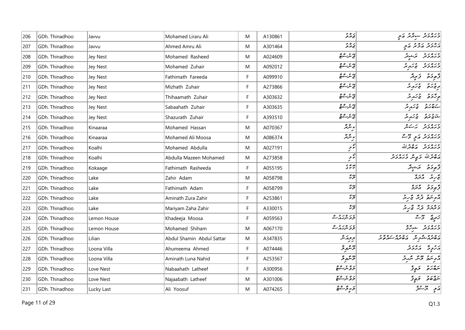| 206 | GDh. Thinadhoo | Javvu       | Mohamed Liraru Ali        | M  | A130861 | ر ه و<br>قع مر ح                      | ورەرو جوړځ کړې                                                                     |
|-----|----------------|-------------|---------------------------|----|---------|---------------------------------------|------------------------------------------------------------------------------------|
| 207 | GDh. Thinadhoo | Javvu       | Ahmed Amru Ali            | M  | A301464 | ر ہ د<br>قع ار پ                      | ره رو ره و در د                                                                    |
| 208 | GDh. Thinadhoo | Jey Nest    | Mohamed Rasheed           | M  | A024609 | ي شرك ه.<br>قم سرك مرك                | وره د و سر د د د کار د د کرد.<br>د بر بر د کار د سر                                |
| 209 | GDh. Thinadhoo | Jey Nest    | Mohamed Zuhair            | M  | A092012 | پ <sub>ئ</sub> بر رہ ج                | 21010 21012                                                                        |
| 210 | GDh. Thinadhoo | Jey Nest    | Fathimath Fareeda         | F. | A099910 | پ <sub>ئ</sub> عرض ه<br>  في سرب شريع | وَجوحَة وَمِيتَر                                                                   |
| 211 | GDh. Thinadhoo | Jey Nest    | Mizhath Zuhair            | F  | A273866 | پ <sub>ئ</sub> برم صحيح               | ويورد ورمر                                                                         |
| 212 | GDh. Thinadhoo | Jey Nest    | Thihaamath Zuhair         | F  | A303632 | ي تر ره ه<br>قح مگر <b>ش</b> ر هخ     | أورجع بمندر                                                                        |
| 213 | GDh. Thinadhoo | Jey Nest    | Sabaahath Zuhair          | F  | A303635 | پر عرصے ج<br>  فیے سر سکھ             | ------                                                                             |
| 214 | GDh. Thinadhoo | Jey Nest    | Shazurath Zuhair          | F  | A393510 | پر عرصے حص                            | د د د د د د د کرد کرد.<br>جنوبه برو سي کرد کرد                                     |
| 215 | GDh. Thinadhoo | Kinaaraa    | Mohamed Hassan            | M  | A070367 | بويترنگر                              | ورەرو پەسكىر                                                                       |
| 216 | GDh. Thinadhoo | Kinaaraa    | Mohamed Ali Moosa         | M  | A086374 | ىرىترىتر                              | כממני התוכנה                                                                       |
| 217 | GDh. Thinadhoo | Koalhi      | Mohamed Abdulla           | M  | A027191 | چ<br>مومو                             | وره رو ده والله                                                                    |
| 218 | GDh. Thinadhoo | Koalhi      | Abdulla Mazeen Mohamed    | M  | A273858 | چ<br>مومو                             | رە داللە ئېرىش دېرەر د                                                             |
| 219 | GDh. Thinadhoo | Kokaage     | Fathimath Rasheeda        | F. | A055195 | پری<br>ماسمی                          | قرموخاته المتحسنة                                                                  |
| 220 | GDh. Thinadhoo | Lake        | Zahir Adam                | M  | A058798 | $\overset{o}{\nu}$                    | تجربر وترو                                                                         |
| 221 | GDh. Thinadhoo | Lake        | Fathimath Adam            | F. | A058799 | يىم                                   | توجوحه ممترد                                                                       |
| 222 | GDh. Thinadhoo | Lake        | Aminath Zura Zahir        | F  | A253861 | ړه ه<br>مور                           | أأدوسكم فرتر تجرير                                                                 |
| 223 | GDh. Thinadhoo | Lake        | Mariyam Zaha Zahir        | F. | A330015 | ایوه                                  | و مده در پر کرد                                                                    |
| 224 | GDh. Thinadhoo | Lemon House | Khadeeja Moosa            | F  | A059563 | ې په ۱۵ په م                          | زَمِرِجٌ حٌ تُ                                                                     |
| 225 | GDh. Thinadhoo | Lemon House | Mohamed Shiham            | M  | A067170 | ، رەر دە                              | ورەرو ئىدگە                                                                        |
| 226 | GDh. Thinadhoo | Lilian      | Abdul Shamin Abdul Sattar | M  | A347835 | اووړ پر<br>په                         | ره وه به مده وه ره دو <del>.</del><br>پره تربر شو <del>ر</del> سر پره تربر سهره بر |
| 227 | GDh. Thinadhoo | Loona Villa | Ahumeema Ahmed            | F  | A074446 | لخشرعر                                | ړر په پره ده.                                                                      |
| 228 | GDh. Thinadhoo | Loona Villa | Aminath Luna Nahid        | F  | A253567 | لخشرعر                                | أأوسم فتحسك سرما                                                                   |
| 229 | GDh. Thinadhoo | Love Nest   | Nabaahath Latheef         | F  | A300956 | پره پر <u>مرم</u> ع                   | برور و د و و                                                                       |
| 230 | GDh. Thinadhoo | Love Nest   | Najaabath Latheef         | M  | A301006 | ىرە ، ئەرە                            | ىر يەر بەر ئىم يارىسى ئىم يارى<br>ئىس ئىم يىش ئىم يىلى ئىم يىلى ئى                 |
| 231 | GDh. Thinadhoo | Lucky Last  | Ali Yoosuf                | M  | A074265 | تزید قرشق                             | أەيبى دور دە                                                                       |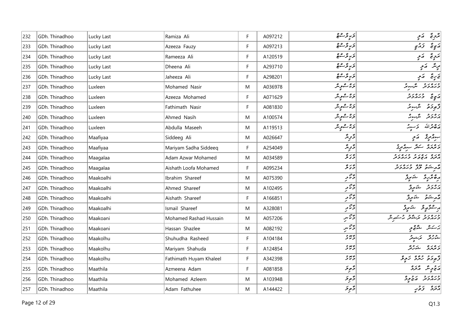| 232 | GDh. Thinadhoo | Lucky Last | Ramiza Ali              | F         | A097212 | ئۈرگەشىشى                | ەكىپىيە                                        |
|-----|----------------|------------|-------------------------|-----------|---------|--------------------------|------------------------------------------------|
| 233 | GDh. Thinadhoo | Lucky Last | Azeeza Fauzy            | F         | A097213 | ۇربۇش ۋە                 | and land<br>تر ترمي                            |
| 234 | GDh. Thinadhoo | Lucky Last | Rameeza Ali             | F         | A120519 | <br> -<br> - إيسمبر مقرم | بزدنج<br>ەئىيە                                 |
| 235 | GDh. Thinadhoo | Lucky Last | Dheena Ali              | F         | A293710 | ئۈرگەشىشى                | وریٹر<br>وریٹر<br>ەكىپىيە                      |
| 236 | GDh. Thinadhoo | Lucky Last | Jaheeza Ali             | F         | A298201 | ئۈرگەشىشى                | $\frac{2}{5}$<br>ەكىپىيە                       |
| 237 | GDh. Thinadhoo | Luxleen    | Mohamed Nasir           | M         | A036978 | ئۇنۇشقۇ بىر              | وره ر د<br>د برگرونر<br>مترسونر                |
| 238 | GDh. Thinadhoo | Luxleen    | Azeeza Mohamed          | F         | A071629 | ئۇنۇشىۋېتىر              | و ر ه ر د<br>تر پر ژ تر<br>ر<br>دېږي           |
| 239 | GDh. Thinadhoo | Luxleen    | Fathimath Nasir         | F         | A081830 | ئەن شەمەيەر              | أرموخاه لترسونه                                |
| 240 | GDh. Thinadhoo | Luxleen    | Ahmed Nasih             | ${\sf M}$ | A100574 | ئەنزىشقە يەشر            | رەرد شهره                                      |
| 241 | GDh. Thinadhoo | Luxleen    | Abdulla Maseeh          | M         | A119513 | ئۇنۇشىۋېتىر              | أرة قرالله كم سور                              |
| 242 | GDh. Thinadhoo | Maafiyaa   | Siddeeg Ali             | M         | A026647 | ۇ پەرگە<br>م             | جوړيږ کړې                                      |
| 243 | GDh. Thinadhoo | Maafiyaa   | Mariyam Sadha Siddeeq   | F         | A254049 | ژٌ رِ پَرُ               | ק פוקס הזוק היותר ביו.<br>המחבר היות היותר ביו |
| 244 | GDh. Thinadhoo | Maagalaa   | Adam Azwar Mohamed      | M         | A034589 | ۇرۇ                      | שנם גםגב כנסגב<br>הבקב הפשיד בההכת             |
| 245 | GDh. Thinadhoo | Maagalaa   | Aishath Loofa Mohamed   | F         | A095234 | ۇزۇ                      | مەر ئەھ بۇ دىرەرد                              |
| 246 | GDh. Thinadhoo | Maakoalhi  | Ibrahim Shareef         | ${\sf M}$ | A075390 | پر م<br>مرتكو مو         | رە ئەر ئىسىر                                   |
| 247 | GDh. Thinadhoo | Maakoalhi  | Ahmed Shareef           | ${\sf M}$ | A102495 | وه<br>قرندې              | رەرد خىمرۇ                                     |
| 248 | GDh. Thinadhoo | Maakoalhi  | Aishath Shareef         | F         | A166851 | ء ص<br> حسنة عب          | ۇرىشقى ئىتىرو                                  |
| 249 | GDh. Thinadhoo | Maakoalhi  | Ismail Shareef          | M         | A328081 | جرثنا منبر               | ر شۇر ئىسىر                                    |
| 250 | GDh. Thinadhoo | Maakoani   | Mohamed Rashad Hussain  | M         | A057206 | لمحتمير                  | ورەرو ریەو وركور                               |
| 251 | GDh. Thinadhoo | Maakoani   | Hassan Shazlee          | M         | A082192 | و مړ <sub>سم</sub>       | ىر سەھر سەھ پە                                 |
| 252 | GDh. Thinadhoo | Maakolhu   | Shuhudha Rasheed        | F         | A104184 | پر بر د<br>و تا تر       | الشورة.<br>الشورة. كار موقد                    |
| 253 | GDh. Thinadhoo | Maakolhu   | Mariyam Shahuda         | F         | A124854 | پر بر د<br>و تا تر       | رەرە شەدىر                                     |
| 254 | GDh. Thinadhoo | Maakolhu   | Fathimath Huyam Khaleel | F         | A342398 | پر بر و<br>تر نا تر      | رٌودَهِ رَمَزُ رَبِّدٍ                         |
| 255 | GDh. Thinadhoo | Maathila   | Azmeena Adam            | F         | A081858 | ځوځه                     | ە ئەج ئىگە ئەگەر 2                             |
| 256 | GDh. Thinadhoo | Maathila   | Mohamed Azleem          | M         | A103948 | قرموخه                   | כנסגב גבל                                      |
| 257 | GDh. Thinadhoo | Maathila   | Adam Fathuhee           | ${\sf M}$ | A144422 | ۇ <sub>مو</sub> ىخە      | پرو زور                                        |
|     |                |            |                         |           |         |                          |                                                |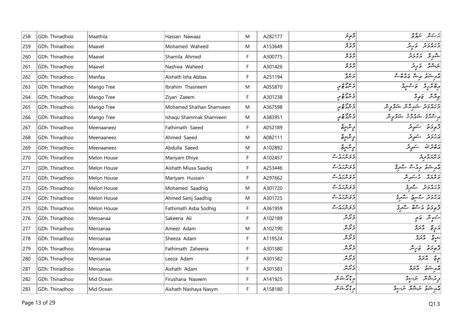| 258 | GDh. Thinadhoo | Maathila    | Hassan Nawaaz            | M           | A282177 | قرموخه                               | ىر سەھرە ئىكرىمى                                                                                                                                                                                                                   |
|-----|----------------|-------------|--------------------------|-------------|---------|--------------------------------------|------------------------------------------------------------------------------------------------------------------------------------------------------------------------------------------------------------------------------------|
| 259 | GDh. Thinadhoo | Maavel      | Mohamed Waheed           | M           | A153649 | ره ده<br><del>ر</del> ه و            | ورەر دىر                                                                                                                                                                                                                           |
| 260 | GDh. Thinadhoo | Maavel      | Shamila Ahmed            | $\mathsf F$ | A300775 | په <sub>ې ق</sub>                    | شَوَوِ قَدْ الْمَدْوَنْد                                                                                                                                                                                                           |
| 261 | GDh. Thinadhoo | Maavel      | Nashwa Waheed            | F           | A301426 | په <sub>ې ق</sub>                    | للرشاق أقابرهما                                                                                                                                                                                                                    |
| 262 | GDh. Thinadhoo | Manfaa      | Aishath Isha Abbas       | F           | A251194 | ىر ھۇ                                | ړُم شَوَه مِشَر ده ده ه                                                                                                                                                                                                            |
| 263 | GDh. Thinadhoo | Mango Tree  | Ibrahim Thasneem         | M           | A055870 | ومرومير                              | رەپرىر ئەسر                                                                                                                                                                                                                        |
| 264 | GDh. Thinadhoo | Mango Tree  | Ziyan Zaeem              | F           | A301238 | ادموهم                               | بمرشش بمهوفه                                                                                                                                                                                                                       |
| 265 | GDh. Thinadhoo | Mango Tree  | Mohamed Shaihan Shamveen | M           | A367598 | <br> دىندۇم يې                       | ورەرو ئەرەر ئەدەرە                                                                                                                                                                                                                 |
| 266 | GDh. Thinadhoo | Mango Tree  | Ishaqu Shammak Shamveen  | M           | A383951 | <br> دسمة هم پر                      | ر قريح شروع شروع شر                                                                                                                                                                                                                |
| 267 | GDh. Thinadhoo | Meenaaneez  | Fathimath Saeed          | F           | A052189 | <sub>چ</sub> ېترس <sub>ى</sub> پى    | و و در د                                                                                                                                                                                                                           |
| 268 | GDh. Thinadhoo | Meenaaneez  | Ahmed Saeed              | M           | A082111 | وبڈیری                               | رورو کردو                                                                                                                                                                                                                          |
| 269 | GDh. Thinadhoo | Meenaaneez  | Abdulla Saeed            | M           | A102892 | ىر ئ <sup>ى</sup> ر بىرى<br>ئ        | مَدْهُ مَّرَاللَّهُ سَمَّصِمَّر                                                                                                                                                                                                    |
| 270 | GDh. Thinadhoo | Melon House | Mariyam Dhiye            | F           | A102457 | ، رەر دە                             | ر و بر و <sub>و ب</sub> ر<br>د بر بر و بر بر                                                                                                                                                                                       |
| 271 | GDh. Thinadhoo | Melon House | Aishath Miusa Saadiq     | $\mathsf F$ | A253446 | ، پر ه پر د ه<br>د نومبر <i>ډ</i> رگ | وأرشكم والمش بكروني                                                                                                                                                                                                                |
| 272 | GDh. Thinadhoo | Melon House | Mariyam Hussain          | F           | A297662 | ، رەر دە                             | دەرە جەمدىر                                                                                                                                                                                                                        |
| 273 | GDh. Thinadhoo | Melon House | Mohamed Saadhig          | M           | A301720 | ، رەر دە                             | ورەرو ھېرتى                                                                                                                                                                                                                        |
| 274 | GDh. Thinadhoo | Melon House | Ahmed Sanij Saadhig      | M           | A301725 | ، رەر دە                             | رەر ئەسەر ئەر                                                                                                                                                                                                                      |
| 275 | GDh. Thinadhoo | Melon House | Fathimath Asba Sodhig    | F           | A361959 | ، رەر دە                             | توجده برقائه بمورد                                                                                                                                                                                                                 |
| 276 | GDh. Thinadhoo | Meroanaa    | Sakeena Ali              | F           | A102189 | ى مى<br>جەنبىر                       | سنيانتش الأمي                                                                                                                                                                                                                      |
| 277 | GDh. Thinadhoo | Meroanaa    | Ameez Adam               | M           | A102190 | ی ص پر<br>چه پیر میٹر                | $\begin{array}{c} \begin{array}{c} \circ \\ \circ \\ \circ \end{array} \end{array}$<br>پور ہ<br>مرکز ژ                                                                                                                             |
| 278 | GDh. Thinadhoo | Meroanaa    | Sheeza Adam              | F           | A119524 | ی ص <u>رته</u><br>حر سرتنگ           | ے پی میں میں کا میں کا کام کر کے لیے ان کے میں کا کہنا ہونے کے لیے ان کے لیے ان کے لیے ان کے لیے ان کے لیے ان<br>میں کام کرنے کے لیے میں کام کرنے کے لیے ان کے لیے ان کے لیے ان کے لیے ان کے لیے ان کے لیے ان کے لیے ان کے لیے<br> |
| 279 | GDh. Thinadhoo | Meroanaa    | Fathimath Zaheena        | F           | A301580 | ى مى پىر<br>جەنبىر                   | توجوخوا المحاسبة                                                                                                                                                                                                                   |
| 280 | GDh. Thinadhoo | Meroanaa    | Leeza Adam               | F           | A301582 | ی ص عر<br>حر سر                      | يرچ گرون                                                                                                                                                                                                                           |
| 281 | GDh. Thinadhoo | Meroanaa    | Aishath Adam             | F           | A301583 | <sup>ي ج</sup> ر پڻر                 | و شهر دره<br>مسترسمون مسترد                                                                                                                                                                                                        |
| 282 | GDh. Thinadhoo | Mid Ocean   | Firushana Naseem         | F           | A141925 | ە <i>مى</i> ھەشەھر                   | <i>و برگشتگر مرکب</i> و                                                                                                                                                                                                            |
| 283 | GDh. Thinadhoo | Mid Ocean   | Aishath Nashaya Nasym    | F           | A158180 | جەم ئەيئەتىر                         | ر<br>مەرشۇم سىشەر سىر                                                                                                                                                                                                              |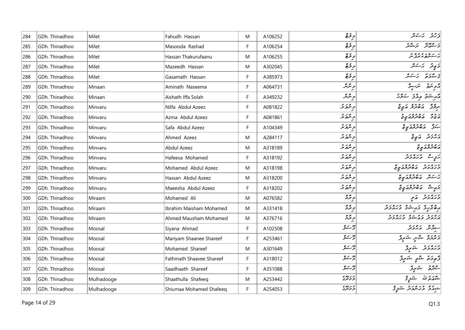| 284 | GDh. Thinadhoo  | Milet      | Fahudh Hassan            | M  | A106252 | وتوه                             | دژن   پرسترنگر                                                      |
|-----|-----------------|------------|--------------------------|----|---------|----------------------------------|---------------------------------------------------------------------|
| 285 | GDh. Thinadhoo  | Milet      | Masooda Rashad           | F. | A106254 | ترتزهج                           | ر ۶۵۰۵ - برگ و                                                      |
| 286 | GDh. Thinadhoo  | Milet      | Hassan Thakurufaanu      | M  | A106255 | ترتزه                            | ىر سەمبرىرە دەر<br>بەسەمبرىرىدى                                     |
| 287 | GDh. Thinadhoo  | Milet      | Mazeedh Hassan           | M  | A302045 | تربحي                            | كخارة المرسكانيكر                                                   |
| 288 | GDh. Thinadhoo  | Milet      | Gasamath Hassan          | F  | A385973 | وتوه                             | ۇيتۇۋە بەسكىل                                                       |
| 289 | GDh. Thinadhoo  | Minaan     | Aminath Naseema          | F  | A064731 | جرىترىتر                         | أأدو يتركم فللمستر وتحريد                                           |
| 290 | GDh. Thinadhoo  | Minaan     | Aishath Iffa Solah       | F  | A349232 | جە ئىرىتر                        | ومشتمع مهدى بتوجد                                                   |
| 291 | GDh. Thinadhoo  | Minvaru    | Nilfa Abdul Azeez        | F  | A081822 | ج مثری تر                        | دوم در ده در ه<br>  در دوم در موج                                   |
| 292 | GDh. Thinadhoo  | Minvaru    | Azma Abdul Azeez         | F  | A081861 | حە ئىرىمە ئىر                    | ן כל גם כסג ב<br>האבל הסנק בה                                       |
| 293 | GDh. Thinadhoo  | Minvaru    | Safa Abdul Azeez         | F  | A104349 | حر مثر پر                        | برو ده ده ده ده کم                                                  |
| 294 | GDh. Thinadhoo  | Minvaru    | Ahmed Azeez              | M  | A284117 | حر متروجر                        | دەر د كەنپى                                                         |
| 295 | GDh. Thinadhoo  | Minvaru    | <b>Abdul Azeez</b>       | M  | A318189 | جر مثر پر                        | ر ه و و د پر ه<br>مه مرکزم ی                                        |
| 296 | GDh. Thinadhoo  | Minvaru    | Hafeesa Mohamed          | F  | A318192 | د مرد د                          | ړَ په دره ده.                                                       |
| 297 | GDh. Thinadhoo  | Minvaru    | Mohamed Abdul Azeez      | M  | A318198 | جر مثر پر جر                     | כנסגב גם כסג <sub>ם ב</sub> ם<br><i>כג</i> וגבע גם <i>נגפ</i> ג'ץ ב |
| 298 | GDh. Thinadhoo  | Minvaru    | Hassan Abdul Azeez       | M  | A318200 | د مرد د                          | ر کره ده ده ده کم                                                   |
| 299 | GDh. Thinadhoo  | Minvaru    | Maeesha Abdul Azeez      | F  | A318202 | احر مقرحه                        | دَرِ شَدَّ مَصْرَ حَرْمَ مِي مَج                                    |
| 300 | GDh. Thinadhoo  | Miraam     | Mohamed Ali              | M  | A076582 | جرمرمر                           | ورەرو كەير                                                          |
| 301 | GDh. Thinadhoo  | Miraam     | Ibrahim Maisham Mohamed  | M  | A331418 | حريمرك                           | ره بره در دره دره در د                                              |
| 302 | GDh. Thinadhoo  | Miraam     | Ahmed Mausham Mohamed    | M  | A376716 | حربمركز                          | נסגב גבגם בגסגב<br>גגבת כגייב בגגבת                                 |
| 303 | GDh. Thinadhoo  | Moosal     | Siyana Ahmad             | F  | A102508 | دد سه ه                          | سەترىش كەردى                                                        |
| 304 | GDh. Thinadhoo  | Moosal     | Mariyam Shaanee Shareef  | F  | A253461 | دد سه ه                          | د ډېرو ځي ځېږو                                                      |
| 305 | GDh. Thinadhoo  | Moosal     | Mohamed Shareef          | M  | A301649 | در ره و                          | ورەرو شەرۇ                                                          |
| 306 | lGDh. Thinadhoo | Moosal     | Fathmath Shaavee Shareef | F  | A318012 | در مەھ                           | أَرْجِزَةُ شَيْءٍ سَيَرِرْ                                          |
| 307 | GDh. Thinadhoo  | Moosal     | Saadhaath Shareef        | F. | A351088 | در مەھ                           | سەترە ھەمرۇ                                                         |
| 308 | GDh. Thinadhoo  | Mulhadooge | Shaathulla Shafeeq       | M  | A253442 | و روو ،<br>تر تر تر <sub>ک</sub> | شَعَرَتْهُمْ وَاللّه مُسْتَعْمِهِ تَحْ                              |
| 309 | GDh. Thinadhoo  | Mulhadooge | Shiumaa Mohamed Shafeeq  | F. | A254053 | و ر دو ،<br>و نوتو و             | أخدرة ورورو كمورو                                                   |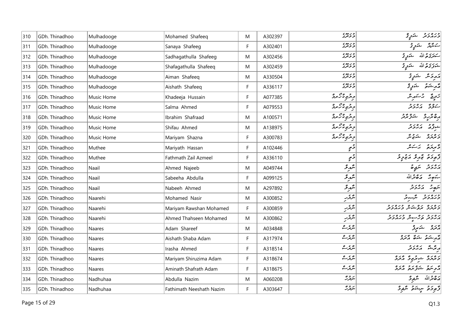| 310 | GDh. Thinadhoo | Mulhadooge        | Mohamed Shafeeq          | M  | A302397 | و ر دو ،<br>و نوتری                     | ورەر ئەسكىر ئاسكىر ئى                                            |
|-----|----------------|-------------------|--------------------------|----|---------|-----------------------------------------|------------------------------------------------------------------|
| 311 | GDh. Thinadhoo | Mulhadooge        | Sanaya Shafeeg           | F  | A302401 | و ر دو ،<br>تر تر تر ت                  | سَنَمَرٌ شَوَرٍ وَ                                               |
| 312 | GDh. Thinadhoo | Mulhadooge        | Sadhagathulla Shafeeg    | M  | A302456 | و ر دو ء<br>تر تر تر ت                  | حصرته و الله مشمورته                                             |
| 313 | GDh. Thinadhoo | Mulhadooge        | Shafagathulla Shafeeq    | M  | A302459 | و ر دو ،<br>تر تر تر ت                  | شعور ترة الله مشعورة                                             |
| 314 | GDh. Thinadhoo | Mulhadooge        | Aiman Shafeeq            | M  | A330504 | و ر دو ء<br>تر تر تر ت                  | <i>ړې د چې</i> د چې په پر                                        |
| 315 | GDh. Thinadhoo | Mulhadooge        | Aishath Shafeeq          | F  | A336117 | و بر دو بر<br>مرکز توری                 | وكركو كور                                                        |
| 316 | GDh. Thinadhoo | <b>Music Home</b> | Khadeeja Hussain         | F  | A077385 | حەدىم مەرجى<br>مەسرىم                   | تزميعً برحسكم مثل                                                |
| 317 | GDh. Thinadhoo | <b>Music Home</b> | Salma Ahmed              | F. | A079553 | <sub>حە</sub> رىم ئ <sup>ەم</sup> بىر ئ | أن وه بره د و                                                    |
| 318 | GDh. Thinadhoo | Music Home        | Ibrahim Shafraad         | M  | A100571 | <br>  دېرېږې لرمړنۍ                     | ە ھەترىر <i>ۋ</i><br>ے و عرور                                    |
| 319 | GDh. Thinadhoo | <b>Music Home</b> | Shifau Ahmed             | M  | A138975 | د مربر <sup>99</sup> برد                | أشوقه أيره رو                                                    |
| 320 | GDh. Thinadhoo | Music Home        | Mariyam Shazna           | F. | A300783 | د مربو <sup>00</sup> برد                | رەرە شەرىر                                                       |
| 321 | GDh. Thinadhoo | Muthee            | Mariyath Hassan          | F. | A102446 | و<br>حرمج                               | د برمرد بر کرد                                                   |
| 322 | GDh. Thinadhoo | Muthee            | Fathmath Zail Azmeel     | F  | A336110 | و<br>حرمج                               | و و ده په ده کامونه                                              |
| 323 | GDh. Thinadhoo | Naail             | Ahmed Najeeb             | M  | A049744 | مٿر ٿر                                  | رەرو سەرە                                                        |
| 324 | GDh. Thinadhoo | Naail             | Sabeeha Abdulla          | F  | A099125 | مٿر ٿر                                  | جَوْمِيَّة مَرْحَقْرَاللَّهُ                                     |
| 325 | GDh. Thinadhoo | Naail             | Nabeeh Ahmed             | M  | A297892 | مٿر ٿر                                  | شهر برورد                                                        |
| 326 | GDh. Thinadhoo | Naarehi           | Mohamed Nasir            | M  | A300852 | يتزيئر                                  | ورەرو شبەر                                                       |
| 327 | GDh. Thinadhoo | Naarehi           | Mariyam Rawshan Mohamed  | F  | A300859 | يتزيجر                                  | ג פגם גם גם כגם גב<br><mark>קאו<i>ו</i>כ אפ</mark> יייניו כגורכנ |
| 328 | GDh. Thinadhoo | Naarehi           | Ahmed Thahseen Mohamed   | M  | A300862 | يتزبئر                                  | גם גב גם הם הנסגב                                                |
| 329 | GDh. Thinadhoo | <b>Naares</b>     | Adam Shareef             | M  | A034848 | متزبر عه                                | وره خېږو<br>مرکز خې                                              |
| 330 | GDh. Thinadhoo | <b>Naares</b>     | Aishath Shaba Adam       | F  | A317974 | متزبر عه                                | ه در در دره وره<br>در شوه شوه مانرو                              |
| 331 | GDh. Thinadhoo | <b>Naares</b>     | Irasha Ahmed             | F  | A318514 | متر پر ہ                                | أربح شد المرادر و                                                |
| 332 | GDh. Thinadhoo | <b>Naares</b>     | Mariyam Shiruzima Adam   | F  | A318674 | متر پر ہ                                | دەرە جومرى ئەر                                                   |
| 333 | GDh. Thinadhoo | <b>Naares</b>     | Aminath Shafrath Adam    | F  | A318675 | پرې ه                                   | أثر شرح الشوائر والمرد                                           |
| 334 | GDh. Thinadhoo | Nadhuhaa          | Abdulla Nazim            | M  | A060208 | سرور                                    | <mark>بر 2 قر</mark> الله<br>سَّنْعُوْرَ                         |
| 335 | GDh. Thinadhoo | Nadhuhaa          | Fathimath Neeshath Nazim | F  | A303647 | ىر و بە<br>سربىرگ                       | أَرْجِعَةً مِنْ مَنْ مُنْ مَنْ مِنْ الْمَدَى                     |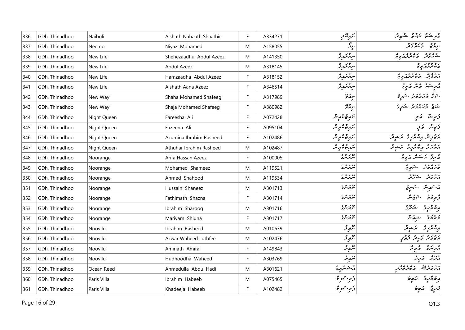| 336 | GDh. Thinadhoo | Naiboli     | Aishath Nabaath Shaathir | F  | A334271 | سَمَدة محر          | وكرمشك مركاة مشجر                                                                                             |
|-----|----------------|-------------|--------------------------|----|---------|---------------------|---------------------------------------------------------------------------------------------------------------|
| 337 | GDh. Thinadhoo | Neemo       | Niyaz Mohamed            | M  | A158055 | سرچ                 | יעתים בגםגב                                                                                                   |
| 338 | GDh. Thinadhoo | New Life    | Shehezaadhu Abdul Azeez  | M  | A141350 | سرمز خرمر و         | د ده ده ده ده ده د ه<br>شرکته در هامر در پای                                                                  |
| 339 | GDh. Thinadhoo | New Life    | <b>Abdul Azeez</b>       | M  | A318145 | سرە ئەرۇ            | ره وه در<br>در ه تر ژو پې مخ                                                                                  |
| 340 | GDh. Thinadhoo | New Life    | Hamzaadha Abdul Azeez    | F  | A318152 | سرە ئەرۇ            |                                                                                                               |
| 341 | GDh. Thinadhoo | New Life    | Aishath Aana Azeez       | F  | A346514 | سرە ئەرۇ            | و انه د کار که انداز می کنیم به کار در کار در انداز کرده که به کار در انداز که به کار کرد که به کار کرد که به |
| 342 | GDh. Thinadhoo | New Way     | Shaha Mohamed Shafeeg    | F  | A317989 | سرون<br>سرونو       | در دره در دره<br>شرگ وبرمان شورٍ و                                                                            |
| 343 | GDh. Thinadhoo | New Way     | Shaja Mohamed Shafeeg    | F  | A380982 | سرده<br>سرمر        | شَرَحٌ الْالْمَرْدَ مِنْ مِنْ الْمَرْبِيْنَى                                                                  |
| 344 | GDh. Thinadhoo | Night Queen | Fareesha Ali             | F  | A072428 | يئىرقۇ ئۈمپىر       | أوسيسة أأتمني                                                                                                 |
| 345 | GDh. Thinadhoo | Night Queen | Fazeena Ali              | F  | A095104 | يئد ع المريثر       | تزي پڻر آھي ج                                                                                                 |
| 346 | GDh. Thinadhoo | Night Queen | Azumina Ibrahim Rasheed  | F. | A102486 | يئىر ۋە مەيە        | גיב א הסתקב תיית                                                                                              |
| 347 | GDh. Thinadhoo | Night Queen | Athuhar Ibrahim Rasheed  | M  | A102487 | يئىر ۋە مەيە        | ו כן כן הסתוכ תיינת                                                                                           |
| 348 | GDh. Thinadhoo | Noorange    | Arifa Hassan Azeez       | F  | A100005 | دد بر ه ،<br>سرپرسر | ە ئىرى ئەسەھ كەنبى ئى                                                                                         |
| 349 | GDh. Thinadhoo | Noorange    | Mohamed Shameez          | M  | A119521 | دد بر ه ،<br>سرپرسر | ورەرو شرچ                                                                                                     |
| 350 | GDh. Thinadhoo | Noorange    | Ahmed Shahood            | M  | A119534 | دد بر ه ،<br>سرپرسر | ره ر و دو و<br>پرېرو تر شوبر تو                                                                               |
| 351 | GDh. Thinadhoo | Noorange    | Hussain Shaneez          | M  | A301713 | دد ر ه ،<br>سرپرسر  | 2 سەر شەھرىج                                                                                                  |
| 352 | GDh. Thinadhoo | Noorange    | Fathimath Shazna         | F  | A301714 | دد ر ه ،<br>سرپرسر  | توجدة سيتمر                                                                                                   |
| 353 | GDh. Thinadhoo | Noorange    | Ibrahim Sharoog          | M  | A301716 | دد ر ه ،<br>سرپرسر  | دەنگەر ئەددە<br>بەھتگەر ئىسىم                                                                                 |
| 354 | GDh. Thinadhoo | Noorange    | Mariyam Shiuna           | F  | A301717 | دد بر ه ،<br>سرپرسر | رەرە شەرقىر                                                                                                   |
| 355 | GDh. Thinadhoo | Noovilu     | Ibrahim Rasheed          | M  | A010639 | يترعر فحر           | ەھەردە ئەھەر<br>مەنبەدە ئەھەر                                                                                 |
| 356 | GDh. Thinadhoo | Noovilu     | Azwar Waheed Luthfee     | M  | A102476 | يتره چ              |                                                                                                               |
| 357 | GDh. Thinadhoo | Noovilu     | Aminath Amira            | F  | A149843 | لترهر فحر           |                                                                                                               |
| 358 | GDh. Thinadhoo | Noovilu     | Hudhoodha Waheed         | F. | A303769 | يترعر قحر           | رود ته توپه در در در در است.<br>مرسمه تر توپه تر                                                              |
| 359 | GDh. Thinadhoo | Ocean Reed  | Ahmedulla Abdul Hadi     | M  | A301621 | پر <u>شریر مربع</u> | برورورالله برە دورىر                                                                                          |
| 360 | GDh. Thinadhoo | Paris Villa | Ibrahim Habeeb           | M  | A075465 | ڈیر مشوقہ           |                                                                                                               |
| 361 | GDh. Thinadhoo | Paris Villa | Khadeeja Habeeb          | F. | A102482 | ۇ برىشوقە           | زَمَرِيَّ بَرُحِ صَ                                                                                           |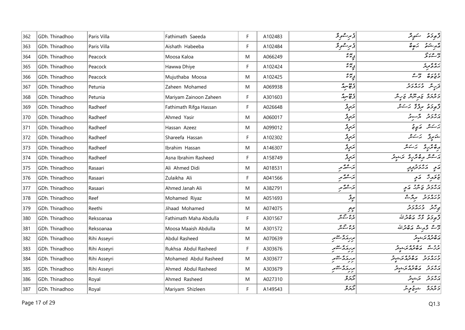| 362 | GDh. Thinadhoo | Paris Villa  | Fathimath Saeeda       | F  | A102483 | إدمر شورمحر              | و دو خوړنگه<br>د کارونو ځ                          |
|-----|----------------|--------------|------------------------|----|---------|--------------------------|----------------------------------------------------|
| 363 | GDh. Thinadhoo | Paris Villa  | Aishath Habeeba        | F. | A102484 | بؤ مر ڪھو ڦر             |                                                    |
| 364 | GDh. Thinadhoo | Peacock      | Moosa Kaloa            | M  | A066249 | بويده                    |                                                    |
| 365 | GDh. Thinadhoo | Peacock      | Hawwa Dhiye            | F. | A102424 | برہ<br>پہن               | برو څ تېر پر                                       |
| 366 | GDh. Thinadhoo | Peacock      | Mujuthaba Moosa        | M  | A102425 | بويده<br>پوس             | دو مئے<br>و و ر پر<br>تر تع ځا                     |
| 367 | GDh. Thinadhoo | Petunia      | Zaheen Mohamed         | M  | A069938 | ] وه سرچ<br> ز ج سرچ     | نور مده دره در د<br>درگس د بر دو مد                |
| 368 | GDh. Thinadhoo | Petunia      | Mariyam Zainoon Zaheen | F  | A301603 | ۍ ده سرچ<br>بر جو سرچ    | כמתכ התיית היות                                    |
| 369 | GDh. Thinadhoo | Radheef      | Fathimath Rifga Hassan | F  | A026648 | برمرو                    | ۋە دە بروق ئەسەر                                   |
| 370 | GDh. Thinadhoo | Radheef      | Ahmed Yasir            | M  | A060017 | ىرىرۇ                    | رەرد پۇسىر                                         |
| 371 | GDh. Thinadhoo | Radheef      | Hassan Azeez           | M  | A099012 | ىرىرۇ                    | پرسنده که پرچ                                      |
| 372 | GDh. Thinadhoo | Radheef      | Shareefa Hassan        | F. | A102302 | ىرىرد                    | ڪيرڙ پاڪس                                          |
| 373 | GDh. Thinadhoo | Radheef      | Ibrahim Hassan         | M  | A146307 | ىرىرۇ                    | مەھرىرى بەسەر                                      |
| 374 | GDh. Thinadhoo | Radheef      | Asna Ibrahim Rasheed   | F  | A158749 | ىرىرد                    |                                                    |
| 375 | GDh. Thinadhoo | Rasaari      | Ali Ahmed Didi         | M  | A018531 | برعدمجر                  | ر<br>مرکز مرکز در در در مرکز در مرکز در ایران      |
| 376 | GDh. Thinadhoo | Rasaari      | Zulaikha Ali           | F  | A041566 | ىر مەمۇبىر               | يحكم شهر أيتمني                                    |
| 377 | GDh. Thinadhoo | Rasaari      | Ahmed Janah Ali        | M  | A382791 | ابتز سفوته مبر           |                                                    |
| 378 | GDh. Thinadhoo | Reef         | Mohamed Riyaz          | M  | A051693 | ىپەتر                    | وره رو بروگ                                        |
| 379 | GDh. Thinadhoo | Reethi       | Jihaad Mohamed         | M  | A074075 | موجو<br>پخ               | ہ پڑھ درہ رد<br>ابے رکھ دیکھ دیکھ                  |
| 380 | GDh. Thinadhoo | Reksoanaa    | Fathimath Maha Abdulla | F  | A301567 | ىرە مەيتر                | قرجوحر محرشه وكاله وترالله                         |
| 381 | GDh. Thinadhoo | Reksoanaa    | Moosa Maaish Abdulla   | M  | A301572 | ىر پە ھەيگە              | وحث وحرث وكافرالله                                 |
| 382 | GDh. Thinadhoo | Rihi Asseyri | Abdul Rasheed          | M  | A070639 | ىرىردە ش <sup>ى</sup> مر | ره وه ر<br>پره تر پر شوتر                          |
| 383 | GDh. Thinadhoo | Rihi Asseyri | Rukhsa Abdul Rasheed   | F  | A303676 | ىرىردە ش <sup>ى</sup> مر | و و به ده وه د به و<br>مرکز شهر از محمد مرکز       |
| 384 | GDh. Thinadhoo | Rihi Asseyri | Mohamed Abdul Rasheed  | M  | A303677 | بربرده متمبر             | ورەرو رەۋەر<br><i>جەم</i> ۇمۇ مەھە <i>رمەترى</i> ش |
| 385 | GDh. Thinadhoo | Rihi Asseyri | Ahmed Abdul Rasheed    | M  | A303679 | ابرىردۇ مە<br>مە         | ره ر و بره وه د بروتوند<br>پربروند بره ترپر برخوند |
| 386 | GDh. Thinadhoo | Royal        | Ahmed Rasheed          | M  | A027310 | ەرە<br>مەدىر             | رەر ئەر ئىنىدىگر<br>مەركى ئىنىدىگر                 |
| 387 | GDh. Thinadhoo | Royal        | Mariyam Shizleen       | F  | A149543 | ەر ە<br>ئىرىرىگە         |                                                    |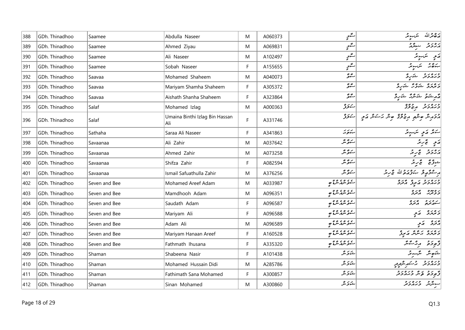| 388 | GDh. Thinadhoo | Saamee        | Abdulla Naseer                        | M           | A060373 | رمعجمج                           | مَدَهْمَدْاللَّهُ مَرَسِوِيْر                       |
|-----|----------------|---------------|---------------------------------------|-------------|---------|----------------------------------|-----------------------------------------------------|
| 389 | GDh. Thinadhoo | Saamee        | Ahmed Ziyau                           | M           | A069831 | رمعجمج                           | גם ג' הייתר<br>הגבת הייתר                           |
| 390 | GDh. Thinadhoo | Saamee        | Ali Naseer                            | M           | A102497 | رمعجمج                           | أوأجي التكبيبوند                                    |
| 391 | GDh. Thinadhoo | Saamee        | Sobah Naseer                          | F           | A155655 | رمعجمج                           | $\frac{2}{3}$ $\frac{1}{2}$ $\frac{2}{3}$           |
| 392 | GDh. Thinadhoo | Saavaa        | Mohamed Shaheem                       | M           | A040073 | ستهجر                            | ورەرو شەرو                                          |
| 393 | GDh. Thinadhoo | Saavaa        | Mariyam Shamha Shaheem                | F           | A305372 | ستهج                             | دەرە شەدر شەرە                                      |
| 394 | GDh. Thinadhoo | Saavaa        | Aishath Shanha Shaheem                | F           | A323864 | ستقى                             |                                                     |
| 395 | GDh. Thinadhoo | Salaf         | Mohamed Izlaq                         | M           | A000363 | سەنزى                            | כנסנב הבבס<br>כמחכת הבבב                            |
| 396 | GDh. Thinadhoo | Salaf         | Umaina Binthi Izlag Bin Hassan<br>Ali | $\mathsf F$ | A331746 | سەئەبۇ                           | רגית סיתף תיצב סית ג' אית הי                        |
| 397 | GDh. Thinadhoo | Sathaha       | Saraa Ali Naseer                      | F.          | A341863 | سەھەر                            | سُتَرٌ أَرَبِي الرَّسِيقُ                           |
| 398 | GDh. Thinadhoo | Savaanaa      | Ali Zahir                             | M           | A037642 | ىسۇ بىگە                         |                                                     |
| 399 | GDh. Thinadhoo | Savaanaa      | Ahmed Zahir                           | M           | A073258 | ئەۋىتر                           |                                                     |
| 400 | GDh. Thinadhoo | Savaanaa      | Shifza Zahir                          | F           | A082594 | ىسۇ بىگە                         | شورمج تحرير                                         |
| 401 | GDh. Thinadhoo | Savaanaa      | Ismail Safuathulla Zahir              | M           | A376256 | ىسۇ بىر                          | مر مؤور و به دوره الله لچ رجمه                      |
| 402 | GDh. Thinadhoo | Seven and Bee | Mohamed Areef Adam                    | M           | A033987 | ، ، ، ، ، ، ، ،<br>سور سر دسو ہ  | כנסק ב התל הבנס                                     |
| 403 | GDh. Thinadhoo | Seven and Bee | Mamdhooh Adam                         | M           | A096351 |                                  | ر ٥ ووه .<br>تر د تر مرتور                          |
| 404 | GDh. Thinadhoo | Seven and Bee | Saudath Adam                          | $\mathsf F$ | A096587 | ، ، ، ، ، ، ، ،<br>سوسمه سرو     | سەدىر دەرە                                          |
| 405 | GDh. Thinadhoo | Seven and Bee | Mariyam Ali                           | F           | A096588 |                                  | د ه ده د کمبو                                       |
| 406 | GDh. Thinadhoo | Seven and Bee | Adam Ali                              | M           | A096589 | ، ، ، ، ، ، ، <i>،</i>           | أترترو أترمح                                        |
| 407 | GDh. Thinadhoo | Seven and Bee | Mariyam Hanaan Areef                  | F           | A160528 | ، ، ، ، ، ، ، ،<br>سوءِ سهرسرو ص |                                                     |
| 408 | GDh. Thinadhoo | Seven and Bee | Fathmath Ihusana                      | $\mathsf F$ | A335320 | ، ، ، ، ، ، ، ،<br>سورسمبر س     |                                                     |
| 409 | GDh. Thinadhoo | Shaman        | Shabeena Nasir                        | F.          | A101438 | ىش <b>ەكەنگ</b> ر                | و و دو دو در محمد<br>دو دو در محمد شرح<br>خوم شرح د |
| 410 | GDh. Thinadhoo | Shaman        | Mohamed Hussain Didi                  | M           | A285786 | شەكەنتىر                         | ورەرو ئەسكىر شرىدىد                                 |
| 411 | GDh. Thinadhoo | Shaman        | Fathimath Sana Mohamed                | F           | A300857 | ىشكە تىر                         | و د د په دره د د                                    |
| 412 | GDh. Thinadhoo | Shaman        | Sinan Mohamed                         | M           | A300860 | ىشكە تىر                         | سەشرىر 2019- 2                                      |
|     |                |               |                                       |             |         |                                  |                                                     |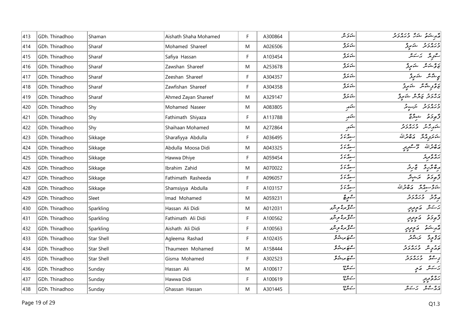| 413 | GDh. Thinadhoo | Shaman     | Aishath Shaha Mohamed | F  | A300864 | ر<br>ستون مگر                                      | م الله عن المسلم المسلم المسلم المسلم المسلم المسلم المسلم المسلم المسلم المسلم المسلم المسلم الله ا |
|-----|----------------|------------|-----------------------|----|---------|----------------------------------------------------|------------------------------------------------------------------------------------------------------|
| 414 | GDh. Thinadhoo | Sharaf     | Mohamed Shareef       | M  | A026506 | شە ئىرى                                            | دبره دبر دبر دبر                                                                                     |
| 415 | GDh. Thinadhoo | Sharaf     | Safiya Hassan         | F. | A103454 | شەئىرى                                             | أستورش الاستان                                                                                       |
| 416 | GDh. Thinadhoo | Sharaf     | Zawshan Shareef       | M  | A253678 | ر<br>شەھرى                                         | ىرە <u>ئىرىش ئىقتىرۇ</u>                                                                             |
| 417 | GDh. Thinadhoo | Sharaf     | Zeeshan Shareef       | F  | A304357 | شە يرو                                             | ىپىشىش شىرتى<br>ئىچىشىش شىرتى                                                                        |
| 418 | GDh. Thinadhoo | Sharaf     | Zawfishan Shareef     | F  | A304358 | ر<br>ستونبرتو                                      | رور شهر شهر <sup>و</sup>                                                                             |
| 419 | GDh. Thinadhoo | Sharaf     | Ahmed Zayan Shareef   | M  | A329147 | ر<br>شەھرىق                                        | ره رو روه هر ځېږو                                                                                    |
| 420 | GDh. Thinadhoo | Shy        | Mohamed Naseer        | M  | A083805 | يتمور                                              | ورەرو شرىيەتم                                                                                        |
| 421 | GDh. Thinadhoo | Shy        | Fathimath Shiyaza     | F  | A113788 | استقامه                                            | و ده شورځ                                                                                            |
| 422 | GDh. Thinadhoo | Shy        | Shaihaan Mohamed      | M  | A272864 | ڪور                                                | شر شر وره دو                                                                                         |
| 423 | GDh. Thinadhoo | Sikkage    | Sharafiyya Abdulla    | F  | A036495 | ەر بەر<br>سىرلىرىدى                                | <u>شريره و پره تر</u> الله                                                                           |
| 424 | GDh. Thinadhoo | Sikkage    | Abdulla Moosa Didi    | M  | A043325 | ەر بەر<br>سىرلەر بور                               | ره قرالله وحسور                                                                                      |
| 425 | GDh. Thinadhoo | Sikkage    | Hawwa Dhiye           | F  | A059454 | ەر ،<br>سورگىرى                                    | بره و <sub>مرم</sub> ر<br>برگرمزمر                                                                   |
| 426 | GDh. Thinadhoo | Sikkage    | Ibrahim Zahid         | M  | A070022 | ە بەر<br>سورىمىسى                                  | وه مر ده سي در                                                                                       |
| 427 | GDh. Thinadhoo | Sikkage    | Fathimath Rasheeda    | F. | A096057 | ە دىرى<br>سىرلىرىدى                                | و ده نم شومگر                                                                                        |
| 428 | GDh. Thinadhoo | Sikkage    | Shamsiyya Abdulla     | F  | A103157 | ەر بەر<br>سىر تەرىخ                                | خوج والله                                                                                            |
| 429 | GDh. Thinadhoo | Sleet      | Imad Mohamed          | M  | A059231 | سكويح                                              | د وره دور                                                                                            |
| 430 | GDh. Thinadhoo | Sparkling  | Hassan Ali Didi       | M  | A012031 | <sub>شونۇ</sub> برى <sub>م</sub> برىد <sub>ى</sub> | يز کشش که محصوص                                                                                      |
| 431 | GDh. Thinadhoo | Sparkling  | Fathimath Ali Didi    | F. | A100562 | <u>شۇ ئ</u> رىئ <sup>ى</sup> رىشمە                 | و گروگر گروپر                                                                                        |
| 432 | GDh. Thinadhoo | Sparkling  | Aishath Ali Didi      | F  | A100563 | الشوتو برناموسند.<br>ا                             | و<br>ورخوش و ورور                                                                                    |
| 433 | GDh. Thinadhoo | Star Shell | Agleema Rashad        | F  | A102435 | <u>ە ئەسكە ئۇ</u>                                  | رە پەر ئەشقا                                                                                         |
| 434 | GDh. Thinadhoo | Star Shell | Thaumeen Mohamed      | M  | A158444 | ے بھے <sub>مر</sub> ے کے مح                        | ני פרים פנים ניב                                                                                     |
| 435 | GDh. Thinadhoo | Star Shell | Gisma Mohamed         | F  | A302523 | ے پچ <sub>مور</sub> ے و                            | توسفۇ<br>و ره ر د<br><i>د ب</i> رگرفر                                                                |
| 436 | GDh. Thinadhoo | Sunday     | Hassan Ali            | M  | A100617 | بەھ                                                | ير سند الأمير                                                                                        |
| 437 | GDh. Thinadhoo | Sunday     | Hawwa Didi            | F  | A100619 | يەھ يە                                             | ر ە بە<br>بەھ ھ <sup>5</sup> ە تە                                                                    |
| 438 | GDh. Thinadhoo | Sunday     | Ghassan Hassan        | M  | A301445 | بەھ يە                                             | زە ئەش ئەسەش                                                                                         |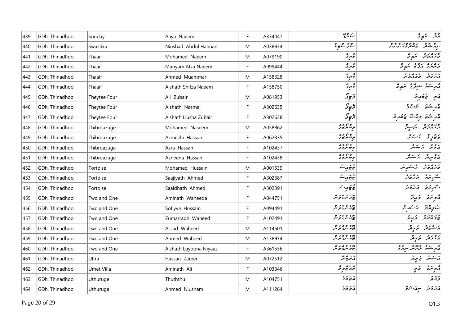| 439 | GDh. Thinadhoo | Sunday       | Aaya Naeem             | F         | A334047 | سەمىيى                         | أثاثر التمدي                                           |
|-----|----------------|--------------|------------------------|-----------|---------|--------------------------------|--------------------------------------------------------|
| 440 | GDh. Thinadhoo | Swastika     | Niushad Abdul Hannan   | M         | A038834 | <u>ه وڅو شوموً</u>             | د د د د ده ده د ه د و.<br>سمه شونر ه ه تروبر سرس       |
| 441 | GDh. Thinadhoo | Thaaif       | Mohamed Naeem          | M         | A079190 | ځږيز                           | ورەرو سَمرٍو                                           |
| 442 | GDh. Thinadhoo | Thaaif       | Mariyam Afza Naeem     | F         | A099444 | ۇرۇ                            | ג 2010 גם 4 מגב                                        |
| 443 | GDh. Thinadhoo | Thaaif       | Ahmed Muammar          | M         | A158328 | پروژ                           | ג פגב בגם גב<br>גגבת בגתבת                             |
| 444 | GDh. Thinadhoo | Thaaif       | Aishath Shifza Naeem   | F         | A158750 | ۇرۇ                            | أمار يشكا والمستوقي التماريح                           |
| 445 | GDh. Thinadhoo | Theytee Four | Ali Zubair             | ${\sf M}$ | A081953 | ں جو<br>م                      | $\begin{bmatrix} 2 & 2 & 3 \\ 2 & 2 & 6 \end{bmatrix}$ |
| 446 | GDh. Thinadhoo | Theytee Four | Aishath Nasma          | F         | A302635 | نه چوگر<br>موغوگر              | ە ئەرىشكى ئىر ئىر                                      |
| 447 | GDh. Thinadhoo | Theytee Four | Aishath Liusha Zubair  | F         | A302638 | ں جو<br>حوصي                   |                                                        |
| 448 | GDh. Thinadhoo | Thibroazuge  | Mohamed Naseem         | ${\sf M}$ | A058862 | وه ۶ د ع<br>موه ترې د          | ورەرو برجو                                             |
| 449 | GDh. Thinadhoo | Thibroazuge  | Azmeela Hassan         | F         | A062335 |                                | ەج چە ئەسەس                                            |
| 450 | GDh. Thinadhoo | Thibroazuge  | Azra Hassan            | F         | A102437 | $rac{1}{55500}$                | مەج ئەر ئەسكەنلەر                                      |
| 451 | GDh. Thinadhoo | Thibroazuge  | Azneena Hassan         | F         | A102438 | <br> موھ تریخ <sub>ک</sub>     | أرجم سرينك أبركت مكر                                   |
| 452 | GDh. Thinadhoo | Tortoise     | Mohamed Hussain        | ${\sf M}$ | A001539 | $\frac{2}{3}$                  | وره رو ورکه می                                         |
| 453 | GDh. Thinadhoo | Tortoise     | Saajiyath Ahmed        | F         | A302387 | ەر بە<br> قۇم                  | شي پر د بره بر د                                       |
| 454 | GDh. Thinadhoo | Tortoise     | Saaidhath Ahmed        | F         | A302391 | ج <sub>تح</sub> مر ے           | گرېزه ده ده.                                           |
| 455 | GDh. Thinadhoo | Two and One  | Aminath Waheeda        | F         | A044751 | دد ، ه ه ه ر ه<br>ج د سرو کو س | أأترسك وسيقر                                           |
| 456 | GDh. Thinadhoo | Two and One  | Sofiyya Hussain        | F         | A094491 | دد ، ه ه ه ر ه<br>ج د سرو کو س | بتوره برسمه                                            |
| 457 | GDh. Thinadhoo | Two and One  | Zumarradh Waheed       | F         | A102491 | دد ، ه ه د ه<br>ج د سرو کو س   | وره رو درو                                             |
| 458 | GDh. Thinadhoo | Two and One  | Assad Waheed           | M         | A114501 | دو پر مرمر مر<br>  ج مرسو کو س | پر صرحر کا مرمز                                        |
| 459 | GDh. Thinadhoo | Two and One  | Ahmed Waheed           | M         | A138974 | دد ، ه ه د ه<br>ج د سرو تو س   | رەرو رىد                                               |
| 460 | GDh. Thinadhoo | Two and One  | Aishath Luyoona Niyaaz | F         | A361556 | دد ، ه ه ه ر ه<br>ج د س و س    | و در دوده سروه                                         |
| 461 | GDh. Thinadhoo | Ultra        | Hassan Zareer          | M         | A072512 | بروه پژ                        | يركسكر سي مريز                                         |
| 462 | GDh. Thinadhoo | Umet Villa   | Aminath Ali            | F         | A103346 | ژوء ۾ موقر                     | أرمر بركر<br>ەتىر                                      |
| 463 | GDh. Thinadhoo | Uthuruge     | Thuththu               | M         | A104751 | د د د د<br>مرح برد             | و ه و<br>حوار حو                                       |
| 464 | GDh. Thinadhoo | Uthuruge     | Ahmed Niusham          | M         | A111264 | د د د د<br>پره پور             | גפיב יינג'יביב                                         |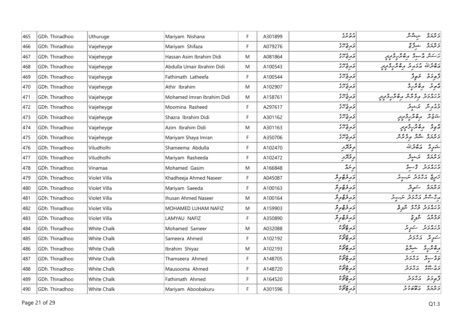| 465 | GDh. Thinadhoo | Uthuruge           | Mariyam Nishana            | F  | A301899 | د د د د<br>پره پرې                        | سرڪرمگر<br>ويوبرو                                    |
|-----|----------------|--------------------|----------------------------|----|---------|-------------------------------------------|------------------------------------------------------|
| 466 | GDh. Thinadhoo | Vaijeheyge         | Mariyam Shifaza            | F  | A079276 | ر مەيدى<br>قەم قىرى                       | ے پیشی<br>نے مختص<br>ر ه ر ه<br><del>ر</del> بربر ژ  |
| 467 | GDh. Thinadhoo | Vaijeheyge         | Hassan Asim Ibrahim Didi   | M  | A081864 | ر<br>  تو مربع رئ                         | .<br>ג' אייל ג' אייב גם ג' פינינ                     |
| 468 | GDh. Thinadhoo | Vaijeheyge         | Abdulla Umair Ibrahim Didi | M  | A100543 | ر<br>تومړين ر                             |                                                      |
| 469 | GDh. Thinadhoo | Vaijeheyge         | Fathimath Latheefa         | F  | A100544 | ر<br>  تو در ج ر <sub>ک</sub>             | وٌمِ وَءٌ وَمِ وَ                                    |
| 470 | GDh. Thinadhoo | Vaijeheyge         | Athir Ibrahim              | M  | A102907 | <br>  تەمرىغ رى                           | پھ ہو بھر<br>مربو بھر<br>مەھمەرى                     |
| 471 | GDh. Thinadhoo | Vaijeheyge         | Mohamed Imran Ibrahim Didi | M  | A158761 | ر<br>تو دي ري                             | כנסגב ספס ספילים                                     |
| 472 | GDh. Thinadhoo | Vaijeheyge         | Moomina Rasheed            | F  | A297617 | ر<br>تو دي ري                             | وړو نگر امرکسونر                                     |
| 473 | GDh. Thinadhoo | Vaijeheyge         | Shazra Ibrahim Didi        | F  | A301162 | ر<br>تو در ج ر د                          | شوي وه درورد                                         |
| 474 | GDh. Thinadhoo | Vaijeheyge         | Azim Ibrahim Didi          | M  | A301163 | ر<br>ح در ج ر <sub>ی</sub>                | أوهج والمتحصر والمعالج والمحمدة والمحرجة             |
| 475 | GDh. Thinadhoo | Vaijeheyge         | Mariyam Shaya Imran        | F. | A350706 | ر<br>تو در ج ر د                          | נ סנס ביות ספס<br>בינות כלות הכינית                  |
| 476 | GDh. Thinadhoo | Viludholhi         | Shameema Abdulla           | F  | A102470 | وتزقرو                                    | ەھىراللە<br>شكور و گر                                |
| 477 | GDh. Thinadhoo | Viludholhi         | Mariyam Rasheeda           | F. | A102472 | وتزقرر                                    | رەرە بەيدۇر                                          |
| 478 | GDh. Thinadhoo | Vinamaa            | Mohamed Gasim              | M  | A166848 | عريتمد                                    | ورەرو گەسۇ                                           |
| 479 | GDh. Thinadhoo | Violet Villa       | Khadheeja Ahmed Naseer     | F. | A045087 | ءَ ٻر ڦوڻا ور ڦُ                          | زَرِيعٌ   دَرُونَرْ الرَّسِي                         |
| 480 | GDh. Thinadhoo | Violet Villa       | Mariyam Saeeda             | F. | A100163 | ار د عوودگر<br>اف <sub>را</sub> رقم عودگر | و دره در کردگر                                       |
| 481 | GDh. Thinadhoo | Violet Villa       | Ihusan Ahmed Naseer        | M  | A100164 | ءَ مرځو هو ځه                             | ورعشر ورود ترجيز                                     |
| 482 | GDh. Thinadhoo | Violet Villa       | MOHAMED LUHAM NAFIZ        | M  | A159903 | ءَ ٻرءُ ڇوءَ                              | ورەرد دوە شرە                                        |
| 483 | GDh. Thinadhoo | Violet Villa       | LAMYAU NAFIZ               | F. | A350890 | ئەر ئۇھ <sub>ى</sub> ر ئە                 | رەپەر شرە                                            |
| 484 | GDh. Thinadhoo | <b>White Chalk</b> | Mohamed Sameer             | M  | A032088 | <br>  تەرىپى تەرە                         | و ره ر د<br><i>د ب</i> رگرفر<br>سكوبر                |
| 485 | GDh. Thinadhoo | <b>White Chalk</b> | Sameera Ahmed              | F  | A102192 | <br>  تەرىج تەر                           | سكوپر كەردىر                                         |
| 486 | GDh. Thinadhoo | <b>White Chalk</b> | Ibrahim Shiyaz             | M  | A102193 | ק הפיזע<br>פהפיזע                         | دە ئەرد<br>شو پر مح<br>مر                            |
| 487 | GDh. Thinadhoo | <b>White Chalk</b> | Thamseera Ahmed            | F  | A148705 | $rac{1}{2}$                               | ە ئەسىرىگە ئەرەر ئە                                  |
| 488 | GDh. Thinadhoo | <b>White Chalk</b> | Mausooma Ahmed             | F  | A148720 | בן 200<br>פא                              | ر و دوءِ<br>وه سور<br>پروژو                          |
| 489 | GDh. Thinadhoo | White Chalk        | Fathimath Ahmed            | F  | A164520 | ה בתפיצי                                  | برە پر د<br>ء بر د<br>ترجو حو                        |
| 490 | GDh. Thinadhoo | <b>White Chalk</b> | Mariyam Aboobakuru         | F. | A301596 | ק<br>פוקים זבי                            | ر ه ر ه<br><del>ر</del> بربرو<br>, , , ,, ,<br>xvoos |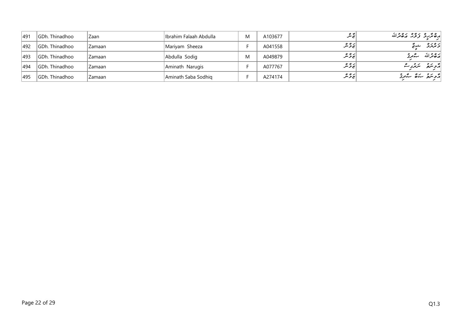| 491 | IGDh. Thinadhoo | Zaan   | Ilbrahim Falaah Abdulla | M | A103677 | پر مر<br>مح | أرەغرىرى ئەقرى ئەھەراللە           |
|-----|-----------------|--------|-------------------------|---|---------|-------------|------------------------------------|
| 492 | GDh. Thinadhoo  | Zamaan | Mariyam Sheeza          |   | A041558 | ئے پڑ میں   | ئە ئەرىر 2<br>سنسويج               |
| 493 | GDh. Thinadhoo  | Zamaan | Abdulla Sodig           | M | A049879 | ئے پڑ میں   | <mark>بر صور</mark> الله<br>سگەرتى |
| 494 | IGDh. Thinadhoo | Zamaan | Aminath Narugis         |   | A077767 | ئے پڑ میں   | أثر جرستمبر والمحتمد والمستح       |
| 495 | GDh. Thinadhoo  | Zamaan | Aminath Saba Sodhig     |   | A274174 | ئے پڑ میں   | أثر حرى سنت ستورتى                 |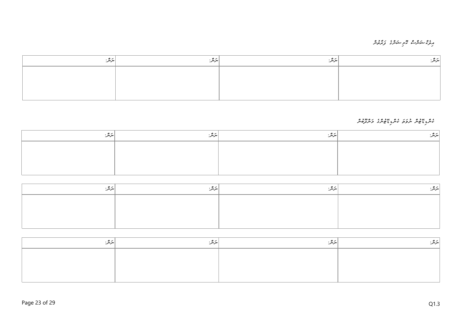## *w7qAn8m? sCw7mRo>u; wEw7mRw;sBo<*

| ' مرمر | 'يئرىثر: |
|--------|----------|
|        |          |
|        |          |
|        |          |

## *w7q9r@w7m> sCw7qHtFoFw7s; mAm=q7 w7qHtFoFw7s;*

| ىر تە | $\mathcal{O} \times$<br>$\sim$ | $\sim$<br>. . | لترنثر |
|-------|--------------------------------|---------------|--------|
|       |                                |               |        |
|       |                                |               |        |
|       |                                |               |        |

| انترنثر: | $^{\circ}$ | يبرهر | $^{\circ}$<br>سرسر |
|----------|------------|-------|--------------------|
|          |            |       |                    |
|          |            |       |                    |
|          |            |       |                    |

| ىرتىر: | 。<br>سر سر | .,<br>مرسر |
|--------|------------|------------|
|        |            |            |
|        |            |            |
|        |            |            |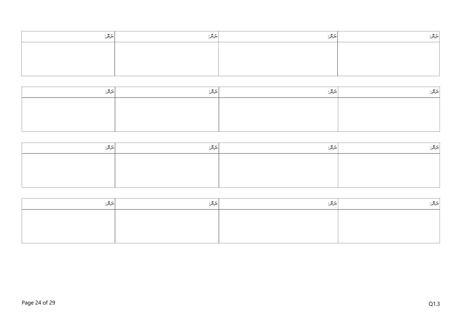| يره. | ο. | ا ير ه |  |
|------|----|--------|--|
|      |    |        |  |
|      |    |        |  |
|      |    |        |  |

| متريثر به | 。<br>'سرسر'۔ | يتزيترا | سرسر |
|-----------|--------------|---------|------|
|           |              |         |      |
|           |              |         |      |
|           |              |         |      |

| ىئرىتر. | $\sim$ | ا بر هه. | لىرىش |
|---------|--------|----------|-------|
|         |        |          |       |
|         |        |          |       |
|         |        |          |       |

| 。<br>مرس. | $\overline{\phantom{a}}$<br>مر مىر | يتريثر |
|-----------|------------------------------------|--------|
|           |                                    |        |
|           |                                    |        |
|           |                                    |        |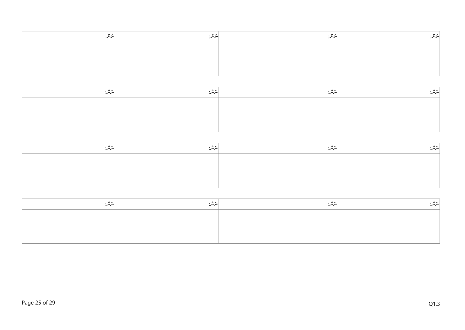| ير هو . | $\overline{\phantom{a}}$ | يرمر | اير هنه. |
|---------|--------------------------|------|----------|
|         |                          |      |          |
|         |                          |      |          |
|         |                          |      |          |

| ىبرىر. | $\sim$<br>ا سرسر . | يئرمثر | o . |
|--------|--------------------|--------|-----|
|        |                    |        |     |
|        |                    |        |     |
|        |                    |        |     |

| انترنثر: | ر ه |  |
|----------|-----|--|
|          |     |  |
|          |     |  |
|          |     |  |

|  | . ه |
|--|-----|
|  |     |
|  |     |
|  |     |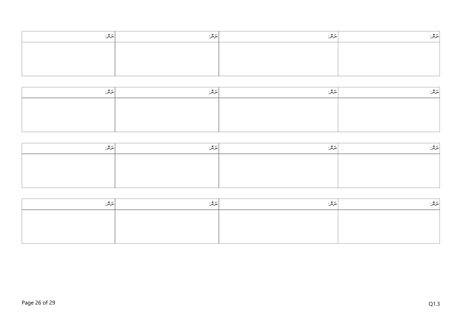| ير هو . | $\overline{\phantom{a}}$ | يرمر | اير هنه. |
|---------|--------------------------|------|----------|
|         |                          |      |          |
|         |                          |      |          |
|         |                          |      |          |

| ىر تىر: | $\circ$ $\sim$<br>" سرسر . | يبرحه | o . |
|---------|----------------------------|-------|-----|
|         |                            |       |     |
|         |                            |       |     |
|         |                            |       |     |

| 'تترنثر: | . .<br>يسمونس. |  |
|----------|----------------|--|
|          |                |  |
|          |                |  |
|          |                |  |

|  | . ه |
|--|-----|
|  |     |
|  |     |
|  |     |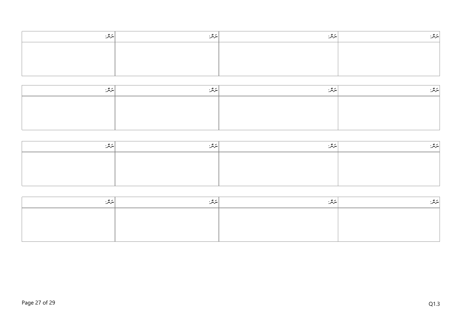| $\cdot$ | ο. | $\frac{\circ}{\cdot}$ | $\sim$<br>سرسر |
|---------|----|-----------------------|----------------|
|         |    |                       |                |
|         |    |                       |                |
|         |    |                       |                |

| ايرعر: | ر ه<br>. . |  |
|--------|------------|--|
|        |            |  |
|        |            |  |
|        |            |  |

| بر ه | 。 | $\sim$<br>َ سومس. |  |
|------|---|-------------------|--|
|      |   |                   |  |
|      |   |                   |  |
|      |   |                   |  |

| 。<br>. س | ىرىىر |  |
|----------|-------|--|
|          |       |  |
|          |       |  |
|          |       |  |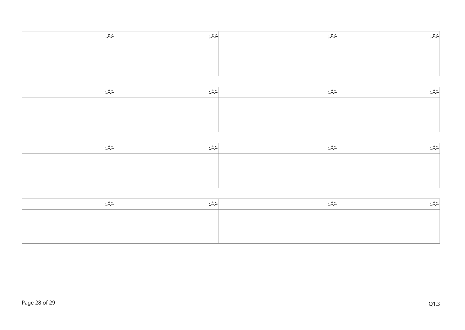| ير هو . | $\overline{\phantom{a}}$ | يرمر | لتزمثن |
|---------|--------------------------|------|--------|
|         |                          |      |        |
|         |                          |      |        |
|         |                          |      |        |

| ىبرىر. | $\sim$<br>ا سرسر . | يئرمثر | o . |
|--------|--------------------|--------|-----|
|        |                    |        |     |
|        |                    |        |     |
|        |                    |        |     |

| انترنثر: | ر ه |  |
|----------|-----|--|
|          |     |  |
|          |     |  |
|          |     |  |

|  | . ه |
|--|-----|
|  |     |
|  |     |
|  |     |